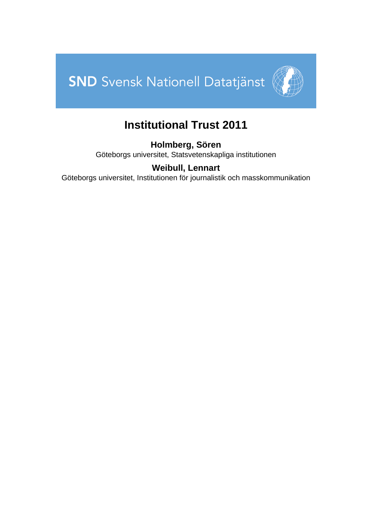



# **Institutional Trust 2011**

**Holmberg, Sören** Göteborgs universitet, Statsvetenskapliga institutionen

# **Weibull, Lennart**

Göteborgs universitet, Institutionen för journalistik och masskommunikation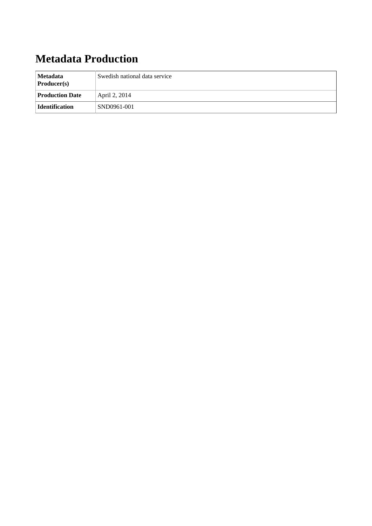# **Metadata Production**

| Metadata<br><b>Producer(s)</b> | Swedish national data service |
|--------------------------------|-------------------------------|
| <b>Production Date</b>         | April 2, 2014                 |
| Identification                 | SND0961-001                   |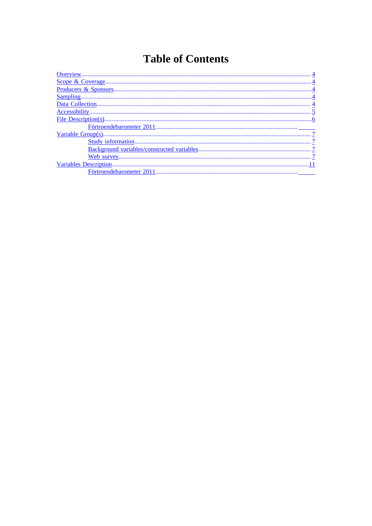# **Table of Contents**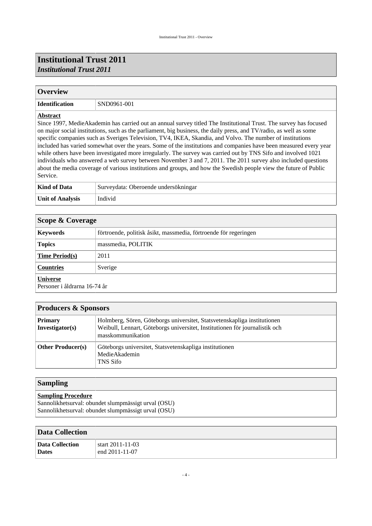## **Institutional Trust 2011** *Institutional Trust 2011*

#### <span id="page-3-0"></span>**Overview**

| <b>Identification</b> |  |
|-----------------------|--|
|-----------------------|--|

**Identification** SND0961-001

#### **Abstract**

Since 1997, MedieAkademin has carried out an annual survey titled The Institutional Trust. The survey has focused on major social institutions, such as the parliament, big business, the daily press, and TV/radio, as well as some specific companies such as Sveriges Television, TV4, IKEA, Skandia, and Volvo. The number of institutions included has varied somewhat over the years. Some of the institutions and companies have been measured every year while others have been investigated more irregularly. The survey was carried out by TNS Sifo and involved 1021 individuals who answered a web survey between November 3 and 7, 2011. The 2011 survey also included questions about the media coverage of various institutions and groups, and how the Swedish people view the future of Public Service.

| Kind of Data            | Surveydata: Oberoende undersökningar |
|-------------------------|--------------------------------------|
| <b>Unit of Analysis</b> | Individ                              |

<span id="page-3-1"></span>

| Scope & Coverage                                |                                                                  |  |  |
|-------------------------------------------------|------------------------------------------------------------------|--|--|
| <b>Keywords</b>                                 | förtroende, politisk åsikt, massmedia, förtroende för regeringen |  |  |
| <b>Topics</b>                                   | massmedia, POLITIK                                               |  |  |
| <b>Time Period(s)</b>                           | 2011                                                             |  |  |
| <b>Countries</b><br>Sverige                     |                                                                  |  |  |
| <b>Universe</b><br>Personer i åldrarna 16-74 år |                                                                  |  |  |

<span id="page-3-2"></span>

| <b>Producers &amp; Sponsors</b>   |                                                                                                                                                                              |  |
|-----------------------------------|------------------------------------------------------------------------------------------------------------------------------------------------------------------------------|--|
| <b>Primary</b><br>Investigator(s) | Holmberg, Sören, Göteborgs universitet, Statsvetenskapliga institutionen<br>Weibull, Lennart, Göteborgs universitet, Institutionen för journalistik och<br>masskommunikation |  |
| <b>Other Producer(s)</b>          | Göteborgs universitet, Statsvetenskapliga institutionen<br>MedieAkademin<br><b>TNS Sifo</b>                                                                                  |  |

#### <span id="page-3-3"></span>**Sampling**

#### **Sampling Procedure**

Sannolikhetsurval: obundet slumpmässigt urval (OSU) Sannolikhetsurval: obundet slumpmässigt urval (OSU)

<span id="page-3-4"></span>

| <b>Data Collection</b> |                  |  |
|------------------------|------------------|--|
| Data Collection        | start 2011-11-03 |  |
| <b>Dates</b>           | end 2011-11-07   |  |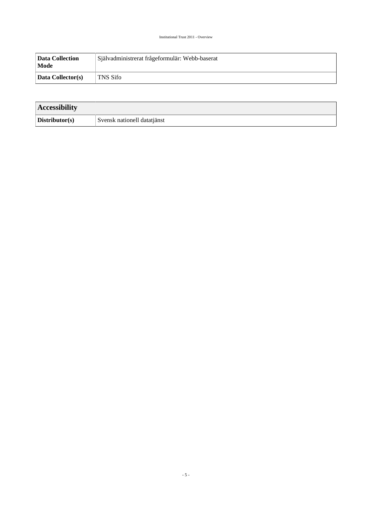| <b>Data Collection</b><br>Mode | Självadministrerat frågeformulär: Webb-baserat |
|--------------------------------|------------------------------------------------|
| Data Collector(s)              | 'TNS Sifo                                      |

<span id="page-4-0"></span>

| <b>Accessibility</b> |                             |  |
|----------------------|-----------------------------|--|
| Distributor(s)       | Svensk nationell datatjänst |  |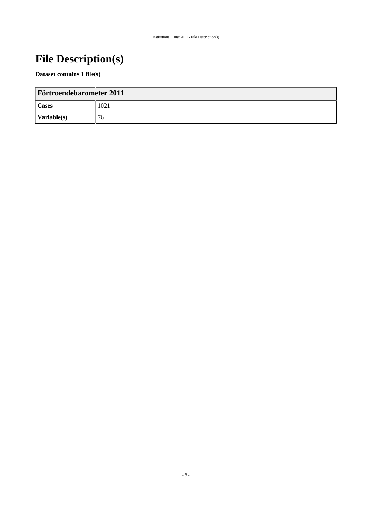# <span id="page-5-0"></span>**File Description(s)**

#### **Dataset contains 1 file(s)**

| <b>Förtroendebarometer 2011</b> |      |  |
|---------------------------------|------|--|
| <b>Cases</b>                    | 1021 |  |
| $\sqrt{\text{Variable}(s)}$     | 76   |  |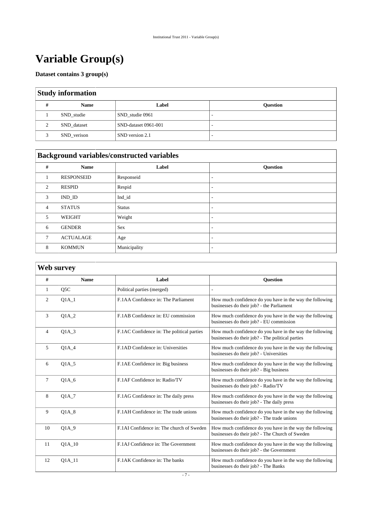# <span id="page-6-0"></span>**Variable Group(s)**

#### **Dataset contains 3 group(s)**

#### <span id="page-6-1"></span>**Study information**

| <b>Name</b> | Label                | <b>Question</b> |
|-------------|----------------------|-----------------|
| SND studie  | SND studie 0961      |                 |
| SND_dataset | SND-dataset 0961-001 |                 |
| SND_verison | SND version 2.1      | -               |

# <span id="page-6-2"></span>**Background variables/constructed variables**

| #              | Name              | Label         | <b>Question</b>          |
|----------------|-------------------|---------------|--------------------------|
|                | <b>RESPONSEID</b> | Responseid    | $\overline{\phantom{a}}$ |
| 2              | <b>RESPID</b>     | Respid        | $\overline{\phantom{a}}$ |
| 3              | IND ID            | Ind_id        | $\overline{\phantom{a}}$ |
| $\overline{4}$ | <b>STATUS</b>     | <b>Status</b> | $\overline{\phantom{a}}$ |
| 5              | <b>WEIGHT</b>     | Weight        | $\overline{\phantom{a}}$ |
| 6              | <b>GENDER</b>     | <b>Sex</b>    | $\overline{\phantom{a}}$ |
| 7              | <b>ACTUALAGE</b>  | Age           | $\overline{\phantom{a}}$ |
| 8              | <b>KOMMUN</b>     | Municipality  | $\overline{\phantom{a}}$ |

# <span id="page-6-3"></span>**Web survey**

| #              | <b>Name</b>      | Label                                      | <b>Ouestion</b>                                                                                              |
|----------------|------------------|--------------------------------------------|--------------------------------------------------------------------------------------------------------------|
| $\mathbf{1}$   | O <sub>5</sub> C | Political parties (merged)                 |                                                                                                              |
| 2              | $Q1A_1$          | F.1AA Confidence in: The Parliament        | How much confidence do you have in the way the following<br>businesses do their job? - the Parliament        |
| 3              | <b>O1A 2</b>     | F.1AB Confidence in: EU commission         | How much confidence do you have in the way the following<br>businesses do their job? - EU commission         |
| $\overline{4}$ | $Q1A_3$          | F.1AC Confidence in: The political parties | How much confidence do you have in the way the following<br>businesses do their job? - The political parties |
| 5              | $Q1A_4$          | F.1AD Confidence in: Universities          | How much confidence do you have in the way the following<br>businesses do their job? - Universities          |
| 6              | O1A 5            | F.1AE Confidence in: Big business          | How much confidence do you have in the way the following<br>businesses do their job? - Big business          |
| 7              | $Q1A_6$          | F.1AF Confidence in: Radio/TV              | How much confidence do you have in the way the following<br>businesses do their job? - Radio/TV              |
| 8              | 01A 7            | F.1AG Confidence in: The daily press       | How much confidence do you have in the way the following<br>businesses do their job? - The daily press       |
| 9              | O1A 8            | F.1AH Confidence in: The trade unions      | How much confidence do you have in the way the following<br>businesses do their job? - The trade unions      |
| 10             | $Q1A_9$          | F.1AI Confidence in: The church of Sweden  | How much confidence do you have in the way the following<br>businesses do their job? - The Church of Sweden  |
| 11             | O1A 10           | F.1AJ Confidence in: The Government        | How much confidence do you have in the way the following<br>businesses do their job? - the Government        |
| 12             | $Q1A_11$         | F.1AK Confidence in: The banks             | How much confidence do you have in the way the following<br>businesses do their job? - The Banks             |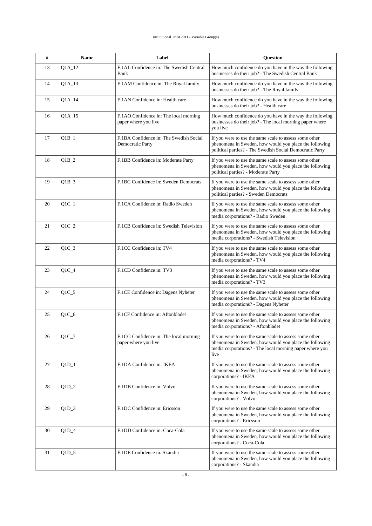| #  | Name     | Label                                                          | <b>Question</b>                                                                                                                                                                     |
|----|----------|----------------------------------------------------------------|-------------------------------------------------------------------------------------------------------------------------------------------------------------------------------------|
| 13 | $Q1A_12$ | F.1AL Confidence in: The Swedish Central<br>Bank               | How much confidence do you have in the way the following<br>businesses do their job? - The Swedish Central Bank                                                                     |
| 14 | Q1A_13   | F.1AM Confidence in: The Royal family                          | How much confidence do you have in the way the following<br>businesses do their job? - The Royal family                                                                             |
| 15 | $Q1A_14$ | F.1AN Confidence in: Health care                               | How much confidence do you have in the way the following<br>businesses do their job? - Health care                                                                                  |
| 16 | $Q1A_15$ | F.1AO Confidence in: The local morning<br>paper where you live | How much confidence do you have in the way the following<br>businesses do their job? - The local morning paper where<br>you live                                                    |
| 17 | $Q1B_1$  | F.1BA Confidence in: The Swedish Social<br>Democratic Party    | If you were to use the same scale to assess some other<br>phenomena in Sweden, how would you place the following<br>political parties? - The Swedish Social Democratic Party        |
| 18 | $Q1B_2$  | F.1BB Confidence in: Moderate Party                            | If you were to use the same scale to assess some other<br>phenomena in Sweden, how would you place the following<br>political parties? - Moderate Party                             |
| 19 | $Q1B_3$  | F.1BC Confidence in: Sweden Democrats                          | If you were to use the same scale to assess some other<br>phenomena in Sweden, how would you place the following<br>political parties? - Sweden Democrats                           |
| 20 | $Q1C_1$  | F.1CA Confidence in: Radio Sweden                              | If you were to use the same scale to assess some other<br>phenomena in Sweden, how would you place the following<br>media corporations? - Radio Sweden                              |
| 21 | $Q1C_2$  | F.1CB Confidence in: Swedish Television                        | If you were to use the same scale to assess some other<br>phenomena in Sweden, how would you place the following<br>media corporations? - Swedish Television                        |
| 22 | $Q1C_3$  | F.1CC Confidence in: TV4                                       | If you were to use the same scale to assess some other<br>phenomena in Sweden, how would you place the following<br>media corporations? - TV4                                       |
| 23 | $Q1C_4$  | F.1CD Confidence in: TV3                                       | If you were to use the same scale to assess some other<br>phenomena in Sweden, how would you place the following<br>media corporations? - TV3                                       |
| 24 | $Q1C_5$  | F.1CE Confidence in: Dagens Nyheter                            | If you were to use the same scale to assess some other<br>phenomena in Sweden, how would you place the following<br>media corporations? - Dagens Nyheter                            |
| 25 | $Q1C_6$  | F.1CF Confidence in: Aftonbladet                               | If you were to use the same scale to assess some other<br>phenomena in Sweden, how would you place the following<br>media corporations? - Aftonbladet                               |
| 26 | $Q1C_7$  | F.1CG Confidence in: The local morning<br>paper where you live | If you were to use the same scale to assess some other<br>phenomena in Sweden, how would you place the following<br>media corporations? - The local morning paper where you<br>live |
| 27 | $Q1D_1$  | F.1DA Confidence in: IKEA                                      | If you were to use the same scale to assess some other<br>phenomena in Sweden, how would you place the following<br>corporations? - IKEA                                            |
| 28 | $Q1D_2$  | F.1DB Confidence in: Volvo                                     | If you were to use the same scale to assess some other<br>phenomena in Sweden, how would you place the following<br>corporations? - Volvo                                           |
| 29 | $Q1D_3$  | F.1DC Confidence in: Ericsson                                  | If you were to use the same scale to assess some other<br>phenomena in Sweden, how would you place the following<br>corporations? - Ericsson                                        |
| 30 | $Q1D_4$  | F.1DD Confidence in: Coca-Cola                                 | If you were to use the same scale to assess some other<br>phenomena in Sweden, how would you place the following<br>corporations? - Coca-Cola                                       |
| 31 | $Q1D_5$  | F.1DE Confidence in: Skandia                                   | If you were to use the same scale to assess some other<br>phenomena in Sweden, how would you place the following<br>corporations? - Skandia                                         |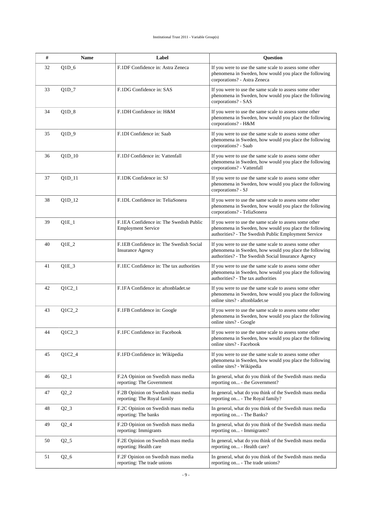| #  | <b>Name</b>         | Label                                                                | <b>Question</b>                                                                                                                                                          |
|----|---------------------|----------------------------------------------------------------------|--------------------------------------------------------------------------------------------------------------------------------------------------------------------------|
| 32 | $Q1D_6$             | F.1DF Confidence in: Astra Zeneca                                    | If you were to use the same scale to assess some other<br>phenomena in Sweden, how would you place the following<br>corporations? - Astra Zeneca                         |
| 33 | $Q1D_7$             | F.1DG Confidence in: SAS                                             | If you were to use the same scale to assess some other<br>phenomena in Sweden, how would you place the following<br>corporations? - SAS                                  |
| 34 | $Q1D_8$             | F.1DH Confidence in: H&M                                             | If you were to use the same scale to assess some other<br>phenomena in Sweden, how would you place the following<br>corporations? - H&M                                  |
| 35 | $Q1D_9$             | F.1DI Confidence in: Saab                                            | If you were to use the same scale to assess some other<br>phenomena in Sweden, how would you place the following<br>corporations? - Saab                                 |
| 36 | $Q1D_10$            | F.1DJ Confidence in: Vattenfall                                      | If you were to use the same scale to assess some other<br>phenomena in Sweden, how would you place the following<br>corporations? - Vattenfall                           |
| 37 | $Q1D_11$            | F.1DK Confidence in: SJ                                              | If you were to use the same scale to assess some other<br>phenomena in Sweden, how would you place the following<br>corporations? - SJ                                   |
| 38 | $Q1D_12$            | F.1DL Confidence in: TeliaSonera                                     | If you were to use the same scale to assess some other<br>phenomena in Sweden, how would you place the following<br>corporations? - TeliaSonera                          |
| 39 | $Q1E_1$             | F.1EA Confidence in: The Swedish Public<br><b>Employment Service</b> | If you were to use the same scale to assess some other<br>phenomena in Sweden, how would you place the following<br>authorities? - The Swedish Public Employment Service |
| 40 | $Q1E_2$             | F.1EB Confidence in: The Swedish Social<br><b>Insurance Agency</b>   | If you were to use the same scale to assess some other<br>phenomena in Sweden, how would you place the following<br>authorities? - The Swedish Social Insurance Agency   |
| 41 | $Q1E_3$             | F.1EC Confidence in: The tax authorities                             | If you were to use the same scale to assess some other<br>phenomena in Sweden, how would you place the following<br>authorities? - The tax authorities                   |
| 42 | $Q1C2_1$            | F.1FA Confidence in: aftonbladet.se                                  | If you were to use the same scale to assess some other<br>phenomena in Sweden, how would you place the following<br>online sites? - aftonbladet.se                       |
| 43 | $Q1C2_2$            | F.1FB Confidence in: Google                                          | If you were to use the same scale to assess some other<br>phenomena in Sweden, how would you place the following<br>online sites? - Google                               |
| 44 | $Q1C2_3$            | F.1FC Confidence in: Facebook                                        | If you were to use the same scale to assess some other<br>phenomena in Sweden, how would you place the following<br>online sites? - Facebook                             |
| 45 | $Q1C2_4$            | F.1FD Confidence in: Wikipedia                                       | If you were to use the same scale to assess some other<br>phenomena in Sweden, how would you place the following<br>online sites? - Wikipedia                            |
| 46 | $Q2_{1}$            | F.2A Opinion on Swedish mass media<br>reporting: The Government      | In general, what do you think of the Swedish mass media<br>reporting on - the Government?                                                                                |
| 47 | $Q^2$ <sub>-2</sub> | F.2B Opinion on Swedish mass media<br>reporting: The Royal family    | In general, what do you think of the Swedish mass media<br>reporting on - The Royal family?                                                                              |
| 48 | $Q2_3$              | F.2C Opinion on Swedish mass media<br>reporting: The banks           | In general, what do you think of the Swedish mass media<br>reporting on - The Banks?                                                                                     |
| 49 | $Q2_4$              | F.2D Opinion on Swedish mass media<br>reporting: Immigrants          | In general, what do you think of the Swedish mass media<br>reporting on - Immigrants?                                                                                    |
| 50 | $Q2_{-5}$           | F.2E Opinion on Swedish mass media<br>reporting: Health care         | In general, what do you think of the Swedish mass media<br>reporting on - Health care?                                                                                   |
| 51 | $Q2_6$              | F.2F Opinion on Swedish mass media<br>reporting: The trade unions    | In general, what do you think of the Swedish mass media<br>reporting on - The trade unions?                                                                              |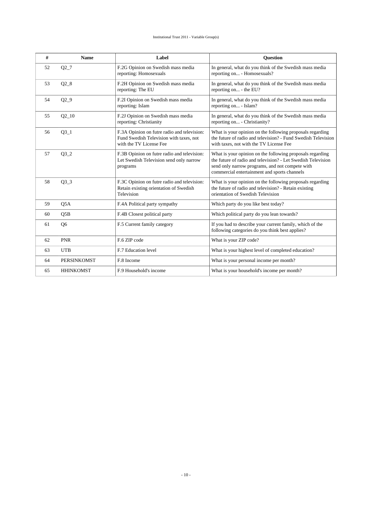| #  | <b>Name</b>        | Label                                                                                                             | Question                                                                                                                                                                                                                     |
|----|--------------------|-------------------------------------------------------------------------------------------------------------------|------------------------------------------------------------------------------------------------------------------------------------------------------------------------------------------------------------------------------|
| 52 | $Q2_7$             | F.2G Opinion on Swedish mass media<br>reporting: Homosexuals                                                      | In general, what do you think of the Swedish mass media<br>reporting on - Homosexuals?                                                                                                                                       |
| 53 | $Q2_8$             | F.2H Opinion on Swedish mass media<br>reporting: The EU                                                           | In general, what do you think of the Swedish mass media<br>reporting on - the EU?                                                                                                                                            |
| 54 | $Q2_9$             | F.2I Opinion on Swedish mass media<br>reporting: Islam                                                            | In general, what do you think of the Swedish mass media<br>reporting on - Islam?                                                                                                                                             |
| 55 | $Q2_{10}$          | F.2J Opinion on Swedish mass media<br>reporting: Christianity                                                     | In general, what do you think of the Swedish mass media<br>reporting on - Christianity?                                                                                                                                      |
| 56 | $Q3_1$             | F.3A Opinion on futre radio and television:<br>Fund Swedish Television with taxes, not<br>with the TV License Fee | What is your opinion on the following proposals regarding<br>the future of radio and television? - Fund Swedish Television<br>with taxes, not with the TV License Fee                                                        |
| 57 | $Q3_2$             | F.3B Opinion on futre radio and television:<br>Let Swedish Television send only narrow<br>programs                | What is your opinion on the following proposals regarding<br>the future of radio and television? - Let Swedish Television<br>send only narrow programs, and not compete with<br>commercial entertainment and sports channels |
| 58 | $Q3_3$             | F.3C Opinion on futre radio and television:<br>Retain existing orientation of Swedish<br>Television               | What is your opinion on the following proposals regarding<br>the future of radio and television? - Retain existing<br>orientation of Swedish Television                                                                      |
| 59 | Q5A                | F.4A Political party sympathy                                                                                     | Which party do you like best today?                                                                                                                                                                                          |
| 60 | O5B                | F.4B Closest political party                                                                                      | Which political party do you lean towards?                                                                                                                                                                                   |
| 61 | Q <sub>6</sub>     | F.5 Current family category                                                                                       | If you had to describe your current family, which of the<br>following categories do you think best applies?                                                                                                                  |
| 62 | <b>PNR</b>         | F.6 ZIP code                                                                                                      | What is your ZIP code?                                                                                                                                                                                                       |
| 63 | <b>UTB</b>         | F.7 Education level                                                                                               | What is your highest level of completed education?                                                                                                                                                                           |
| 64 | <b>PERSINKOMST</b> | F.8 Income                                                                                                        | What is your personal income per month?                                                                                                                                                                                      |
| 65 | <b>HHINKOMST</b>   | F.9 Household's income                                                                                            | What is your household's income per month?                                                                                                                                                                                   |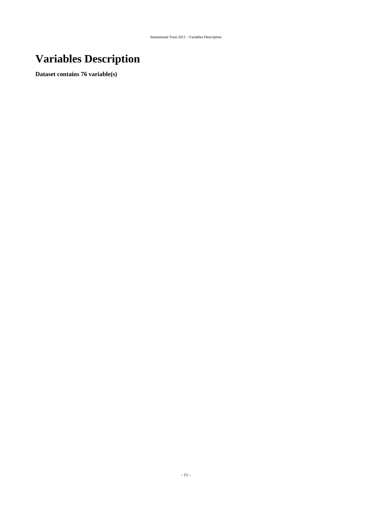# <span id="page-10-0"></span>**Variables Description**

**Dataset contains 76 variable(s)**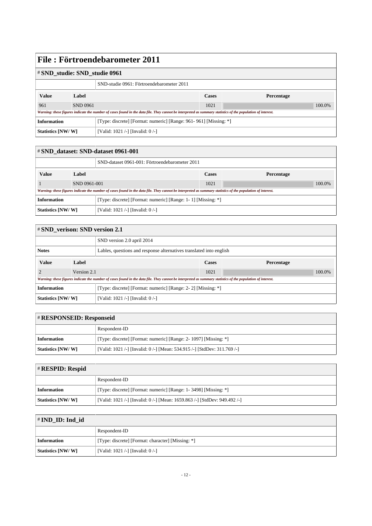| # SND_studie: SND_studie 0961             |                 |                                                                                                                                                             |              |            |
|-------------------------------------------|-----------------|-------------------------------------------------------------------------------------------------------------------------------------------------------------|--------------|------------|
| SND-studie 0961: Förtroendebarometer 2011 |                 |                                                                                                                                                             |              |            |
| <b>Value</b><br>Label                     |                 |                                                                                                                                                             | <b>Cases</b> | Percentage |
| 961                                       | <b>SND 0961</b> |                                                                                                                                                             | 1021         | 100.0%     |
|                                           |                 | Warning: these figures indicate the number of cases found in the data file. They cannot be interpreted as summary statistics of the population of interest. |              |            |
| <b>Information</b>                        |                 | [Type: discrete] [Format: numeric] [Range: 961-961] [Missing: *]                                                                                            |              |            |
| Statistics [NW/W]                         |                 | [Valid: 1021 /-] [Invalid: $0$ /-]                                                                                                                          |              |            |

| # SND dataset: SND-dataset 0961-001            |                                                                                                                                                             |                                                              |            |        |  |
|------------------------------------------------|-------------------------------------------------------------------------------------------------------------------------------------------------------------|--------------------------------------------------------------|------------|--------|--|
| SND-dataset 0961-001: Förtroendebarometer 2011 |                                                                                                                                                             |                                                              |            |        |  |
| <b>Value</b><br>Label                          |                                                                                                                                                             | <b>Cases</b>                                                 | Percentage |        |  |
|                                                | SND 0961-001                                                                                                                                                |                                                              | 1021       | 100.0% |  |
|                                                | Warning: these figures indicate the number of cases found in the data file. They cannot be interpreted as summary statistics of the population of interest. |                                                              |            |        |  |
| <b>Information</b>                             |                                                                                                                                                             | [Type: discrete] [Format: numeric] [Range: 1-1] [Missing: *] |            |        |  |
| Statistics [NW/W]                              |                                                                                                                                                             | [Valid: 1021 /-] [Invalid: $0$ /-]                           |            |        |  |

| # SND_verison: SND version 2.1 |       |                                                                                                                                                             |              |            |        |
|--------------------------------|-------|-------------------------------------------------------------------------------------------------------------------------------------------------------------|--------------|------------|--------|
| SND version 2.0 april 2014     |       |                                                                                                                                                             |              |            |        |
| <b>Notes</b>                   |       | Lables, questions and response alternatives translated into english                                                                                         |              |            |        |
| <b>Value</b>                   | Label |                                                                                                                                                             | <b>Cases</b> | Percentage |        |
| Version 2.1                    |       |                                                                                                                                                             | 1021         |            | 100.0% |
|                                |       | Warning: these figures indicate the number of cases found in the data file. They cannot be interpreted as summary statistics of the population of interest. |              |            |        |
| <b>Information</b>             |       | [Type: discrete] [Format: numeric] [Range: 2- 2] [Missing: *]                                                                                               |              |            |        |
| Statistics [NW/W]              |       | [Valid: 1021 /-] [Invalid: 0 /-]                                                                                                                            |              |            |        |

|                                                                                               | <b>#RESPONSEID: Responseid</b>                                   |  |  |
|-----------------------------------------------------------------------------------------------|------------------------------------------------------------------|--|--|
|                                                                                               | Respondent-ID                                                    |  |  |
| <b>Information</b>                                                                            | [Type: discrete] [Format: numeric] [Range: 2- 1097] [Missing: *] |  |  |
| Statistics [NW/W]<br>[Valid: 1021 /-] [Invalid: 0 /-] [Mean: 534.915 /-] [StdDev: 311.769 /-] |                                                                  |  |  |

# # **RESPID: Respid**

|                    | Respondent-ID                                                             |
|--------------------|---------------------------------------------------------------------------|
| <b>Information</b> | [Type: discrete] [Format: numeric] [Range: 1-3498] [Missing: *]           |
| Statistics [NW/W]  | [Valid: 1021 /-] [Invalid: 0 /-] [Mean: 1659.863 /-] [StdDev: 949.492 /-] |

| $\sharp$ IND ID: Ind id  |                                                   |  |
|--------------------------|---------------------------------------------------|--|
|                          | Respondent-ID                                     |  |
| <b>Information</b>       | [Type: discrete] [Format: character] [Missing: *] |  |
| <b>Statistics [NW/W]</b> | [Valid: 1021 /-] [Invalid: $0$ /-]                |  |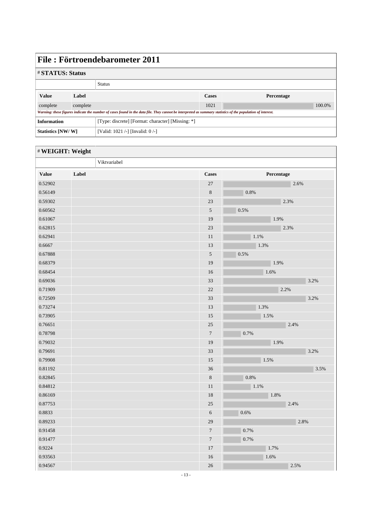| File: Förtroendebarometer 2011                                                                                                                              |                        |                                                   |              |            |        |  |
|-------------------------------------------------------------------------------------------------------------------------------------------------------------|------------------------|---------------------------------------------------|--------------|------------|--------|--|
|                                                                                                                                                             | <b>#STATUS: Status</b> |                                                   |              |            |        |  |
|                                                                                                                                                             |                        | <b>Status</b>                                     |              |            |        |  |
| <b>Value</b>                                                                                                                                                | Label                  |                                                   | <b>Cases</b> | Percentage |        |  |
| complete                                                                                                                                                    | complete               |                                                   | 1021         |            | 100.0% |  |
| Warning: these figures indicate the number of cases found in the data file. They cannot be interpreted as summary statistics of the population of interest. |                        |                                                   |              |            |        |  |
| <b>Information</b>                                                                                                                                          |                        | [Type: discrete] [Format: character] [Missing: *] |              |            |        |  |
| Statistics [NW/W]                                                                                                                                           |                        | [Valid: 1021 /-] [Invalid: $0$ /-]                |              |            |        |  |

|              | # WEIGHT: Weight |                  |            |
|--------------|------------------|------------------|------------|
|              | Viktvariabel     |                  |            |
| <b>Value</b> | Label            | <b>Cases</b>     | Percentage |
| 0.52902      |                  | 27               | 2.6%       |
| 0.56149      |                  | $\,8\,$          | 0.8%       |
| 0.59302      |                  | 23               | 2.3%       |
| 0.60562      |                  | 5                | 0.5%       |
| 0.61067      |                  | 19               | 1.9%       |
| 0.62815      |                  | 23               | 2.3%       |
| 0.62941      |                  | 11               | 1.1%       |
| 0.6667       |                  | 13               | 1.3%       |
| 0.67888      |                  | $\sqrt{5}$       | $0.5\%$    |
| 0.68379      |                  | 19               | 1.9%       |
| 0.68454      |                  | 16               | 1.6%       |
| 0.69036      |                  | 33               | 3.2%       |
| 0.71909      |                  | $22\,$           | 2.2%       |
| 0.72509      |                  | 33               | 3.2%       |
| 0.73274      |                  | 13               | 1.3%       |
| 0.73905      |                  | 15               | 1.5%       |
| 0.76651      |                  | 25               | 2.4%       |
| 0.78798      |                  | $\tau$           | 0.7%       |
| 0.79032      |                  | 19               | 1.9%       |
| 0.79691      |                  | 33               | 3.2%       |
| 0.79908      |                  | 15               | 1.5%       |
| 0.81192      |                  | 36               | 3.5%       |
| 0.82845      |                  | $\,8\,$          | 0.8%       |
| 0.84812      |                  | $11\,$           | 1.1%       |
| 0.86169      |                  | 18               | 1.8%       |
| 0.87753      |                  | $25\,$           | 2.4%       |
| 0.8833       |                  | $\sqrt{6}$       | 0.6%       |
| 0.89233      |                  | 29               | 2.8%       |
| 0.91458      |                  | $\overline{7}$   | 0.7%       |
| 0.91477      |                  | $\boldsymbol{7}$ | 0.7%       |
| 0.9224       |                  | 17               | 1.7%       |
| 0.93563      |                  | 16               | 1.6%       |
| 0.94567      |                  | $26\,$           | 2.5%       |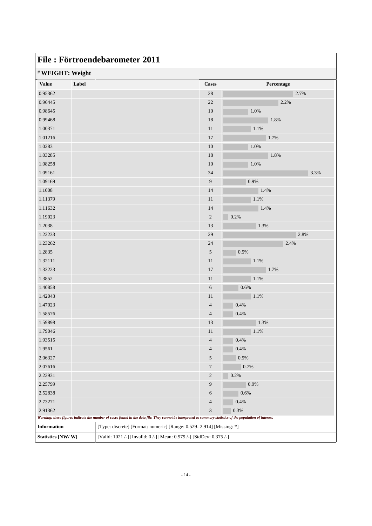| File: Förtroendebarometer 2011 |       |                                                                                                                                                             |                |            |
|--------------------------------|-------|-------------------------------------------------------------------------------------------------------------------------------------------------------------|----------------|------------|
| # WEIGHT: Weight               |       |                                                                                                                                                             |                |            |
| <b>Value</b>                   | Label |                                                                                                                                                             | <b>Cases</b>   | Percentage |
| 0.95362                        |       |                                                                                                                                                             | 28             | 2.7%       |
| 0.96445                        |       |                                                                                                                                                             | 22             | 2.2%       |
| 0.98645                        |       |                                                                                                                                                             | 10             | 1.0%       |
| 0.99468                        |       |                                                                                                                                                             | 18             | 1.8%       |
| 1.00371                        |       |                                                                                                                                                             | 11             | 1.1%       |
| 1.01216                        |       |                                                                                                                                                             | 17             | 1.7%       |
| 1.0283                         |       |                                                                                                                                                             | 10             | 1.0%       |
| 1.03285                        |       |                                                                                                                                                             | 18             | 1.8%       |
| 1.08258                        |       |                                                                                                                                                             | 10             | 1.0%       |
| 1.09161                        |       |                                                                                                                                                             | 34             | 3.3%       |
| 1.09169                        |       |                                                                                                                                                             | 9              | 0.9%       |
| 1.1008                         |       |                                                                                                                                                             | 14             | 1.4%       |
| 1.11379                        |       |                                                                                                                                                             | 11             | 1.1%       |
| 1.11632                        |       |                                                                                                                                                             | 14             | 1.4%       |
| 1.19023                        |       |                                                                                                                                                             | $\sqrt{2}$     | 0.2%       |
| 1.2038                         |       |                                                                                                                                                             | 13             | 1.3%       |
| 1.22233                        |       |                                                                                                                                                             | 29             | 2.8%       |
| 1.23262                        |       |                                                                                                                                                             | 24             | 2.4%       |
| 1.2835                         |       |                                                                                                                                                             | 5              | 0.5%       |
| 1.32111                        |       |                                                                                                                                                             | 11             | 1.1%       |
| 1.33223                        |       |                                                                                                                                                             | 17             | 1.7%       |
| 1.3852                         |       |                                                                                                                                                             | 11             | 1.1%       |
| 1.40858                        |       |                                                                                                                                                             | 6              | 0.6%       |
| 1.42043                        |       |                                                                                                                                                             | 11             | 1.1%       |
| 1.47023                        |       |                                                                                                                                                             | $\overline{4}$ | 0.4%       |
| 1.58576                        |       |                                                                                                                                                             | $\overline{4}$ | 0.4%       |
| 1.59898                        |       |                                                                                                                                                             | 13             | 1.3%       |
| 1.79046                        |       |                                                                                                                                                             | 11             | $1.1\%$    |
| 1.93515                        |       |                                                                                                                                                             | $\overline{4}$ | 0.4%       |
| 1.9561                         |       |                                                                                                                                                             | $\overline{4}$ | $0.4\%$    |
| 2.06327                        |       |                                                                                                                                                             | $\sqrt{5}$     | 0.5%       |
| 2.07616                        |       |                                                                                                                                                             | 7              | 0.7%       |
| 2.23931                        |       |                                                                                                                                                             | $\sqrt{2}$     | 0.2%       |
| 2.25799                        |       |                                                                                                                                                             | 9              | 0.9%       |
| 2.52838                        |       |                                                                                                                                                             | 6              | 0.6%       |
| 2.73271                        |       |                                                                                                                                                             | $\overline{4}$ | 0.4%       |
| 2.91362                        |       |                                                                                                                                                             | 3              | 0.3%       |
|                                |       | Warning: these figures indicate the number of cases found in the data file. They cannot be interpreted as summary statistics of the population of interest. |                |            |
| Information                    |       | [Type: discrete] [Format: numeric] [Range: 0.529-2.914] [Missing: *]                                                                                        |                |            |
| Statistics [NW/W]              |       | [Valid: 1021 /-] [Invalid: 0 /-] [Mean: 0.979 /-] [StdDev: 0.375 /-]                                                                                        |                |            |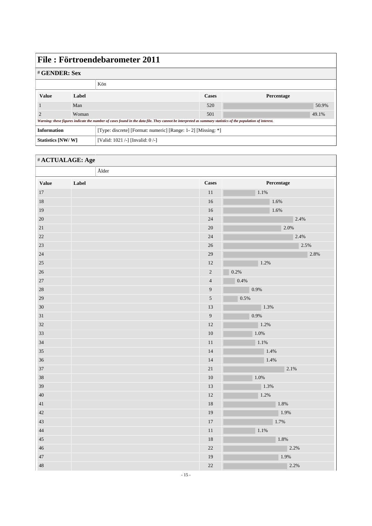| File: Förtroendebarometer 2011                                                                                                                              |                      |                                  |              |            |  |  |  |
|-------------------------------------------------------------------------------------------------------------------------------------------------------------|----------------------|----------------------------------|--------------|------------|--|--|--|
|                                                                                                                                                             | # <b>GENDER: Sex</b> |                                  |              |            |  |  |  |
|                                                                                                                                                             |                      | Kön                              |              |            |  |  |  |
| <b>Value</b>                                                                                                                                                | Label                |                                  | <b>Cases</b> | Percentage |  |  |  |
|                                                                                                                                                             | Man                  |                                  | 520          | 50.9%      |  |  |  |
|                                                                                                                                                             | Woman                |                                  | 501          | 49.1%      |  |  |  |
| Warning: these figures indicate the number of cases found in the data file. They cannot be interpreted as summary statistics of the population of interest. |                      |                                  |              |            |  |  |  |
| <b>Information</b><br>[Type: discrete] [Format: numeric] [Range: 1-2] [Missing: *]                                                                          |                      |                                  |              |            |  |  |  |
| Statistics [NW/W]                                                                                                                                           |                      | [Valid: 1021 /-] [Invalid: 0 /-] |              |            |  |  |  |

#### # **ACTUALAGE: Age**

|              | $\mathring{\text{A}}$ lder |                  |            |
|--------------|----------------------------|------------------|------------|
| <b>Value</b> | Label                      | <b>Cases</b>     | Percentage |
| $17\,$       |                            | $11\,$           | 1.1%       |
| $18\,$       |                            | $16\,$           | 1.6%       |
| 19           |                            | $16\,$           | 1.6%       |
| 20           |                            | 24               | 2.4%       |
| $21\,$       |                            | $20\,$           | 2.0%       |
| 22           |                            | $24\,$           | 2.4%       |
| 23           |                            | $26\,$           | 2.5%       |
| 24           |                            | $29\,$           | 2.8%       |
| $25\,$       |                            | 12               | 1.2%       |
| 26           |                            | $\sqrt{2}$       | 0.2%       |
| $27\,$       |                            | $\sqrt{4}$       | 0.4%       |
| 28           |                            | $\boldsymbol{9}$ | $0.9\%$    |
| 29           |                            | $\sqrt{5}$       | 0.5%       |
| 30           |                            | 13               | $ 1.3\%$   |
| $31\,$       |                            | $\boldsymbol{9}$ | 0.9%       |
| 32           |                            | 12               | 1.2%       |
| 33           |                            | $10\,$           | 1.0%       |
| 34           |                            | $11\,$           | $1.1\%$    |
| 35           |                            | 14               | 1.4%       |
| 36           |                            | 14               | 1.4%       |
| 37           |                            | $21\,$           | 2.1%       |
| 38           |                            | $10\,$           | $1.0\%$    |
| 39           |                            | 13               | 1.3%       |
| 40           |                            | $12\,$           | 1.2%       |
| $41\,$       |                            | 18               | 1.8%       |
| $42\,$       |                            | 19               | 1.9%       |
| 43           |                            | $17\,$           | $1.7\%$    |
| 44           |                            | $11\,$           | $1.1\%$    |
| 45           |                            | $18\,$           | $1.8\%$    |
| 46           |                            | $22\,$           | 2.2%       |
| 47           |                            | 19               | 1.9%       |
| 48           |                            | 22               | 2.2%       |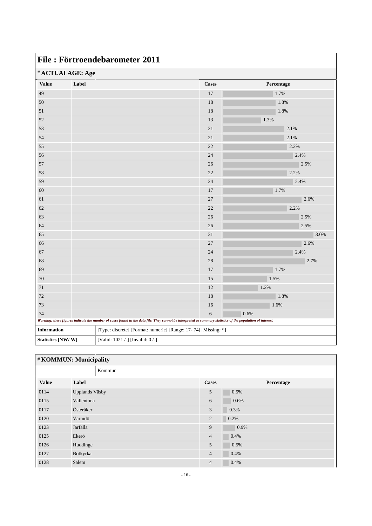|              | # ACTUALAGE: Age |                                                                                                                                                             |            |
|--------------|------------------|-------------------------------------------------------------------------------------------------------------------------------------------------------------|------------|
| <b>Value</b> | Label            | <b>Cases</b>                                                                                                                                                | Percentage |
| 49           |                  | 17                                                                                                                                                          | 1.7%       |
| $50\,$       |                  | $18\,$                                                                                                                                                      | 1.8%       |
| 51           |                  | 18                                                                                                                                                          | 1.8%       |
| $52\,$       |                  | 13                                                                                                                                                          | 1.3%       |
| 53           |                  | $21\,$                                                                                                                                                      | 2.1%       |
| 54           |                  | $21\,$                                                                                                                                                      | 2.1%       |
| 55           |                  | 22                                                                                                                                                          | 2.2%       |
| 56           |                  | 24                                                                                                                                                          | 2.4%       |
| 57           |                  | 26                                                                                                                                                          | 2.5%       |
| $58\,$       |                  | 22                                                                                                                                                          | 2.2%       |
| 59           |                  | 24                                                                                                                                                          | 2.4%       |
| $60\,$       |                  | 17                                                                                                                                                          | 1.7%       |
| 61           |                  | $27\,$                                                                                                                                                      | 2.6%       |
| $62\,$       |                  | 22                                                                                                                                                          | 2.2%       |
| 63           |                  | $26\,$                                                                                                                                                      | 2.5%       |
| 64           |                  | 26                                                                                                                                                          | 2.5%       |
| 65           |                  | 31                                                                                                                                                          | 3.0%       |
| 66           |                  | 27                                                                                                                                                          | 2.6%       |
| 67           |                  | 24                                                                                                                                                          | 2.4%       |
| 68           |                  | 28                                                                                                                                                          | 2.7%       |
| 69           |                  | 17                                                                                                                                                          | 1.7%       |
| $70\,$       |                  | 15                                                                                                                                                          | 1.5%       |
| $71\,$       |                  | 12                                                                                                                                                          | 1.2%       |
| $72\,$       |                  | $18\,$                                                                                                                                                      | 1.8%       |
| 73           |                  | 16                                                                                                                                                          | 1.6%       |
| 74           |                  | 6                                                                                                                                                           | 0.6%       |
|              |                  | Warning: these figures indicate the number of cases found in the data file. They cannot be interpreted as summary statistics of the population of interest. |            |

| <b>#KOMMUN: Municipality</b> |                |        |                |            |  |
|------------------------------|----------------|--------|----------------|------------|--|
|                              |                | Kommun |                |            |  |
| Value                        | Label          |        | <b>Cases</b>   | Percentage |  |
| 0114                         | Upplands Väsby |        | 5              | 0.5%       |  |
| 0115                         | Vallentuna     |        | 6              | 0.6%       |  |
| 0117                         | Österåker      |        | 3              | 0.3%       |  |
| 0120                         | Värmdö         |        | 2              | 0.2%       |  |
| 0123                         | Järfälla       |        | 9              | 0.9%       |  |
| 0125                         | Ekerö          |        | $\overline{4}$ | 0.4%       |  |
| 0126                         | Huddinge       |        | 5              | 0.5%       |  |
| 0127                         | Botkyrka       |        | $\overline{4}$ | 0.4%       |  |
| 0128                         | Salem          |        | $\overline{4}$ | 0.4%       |  |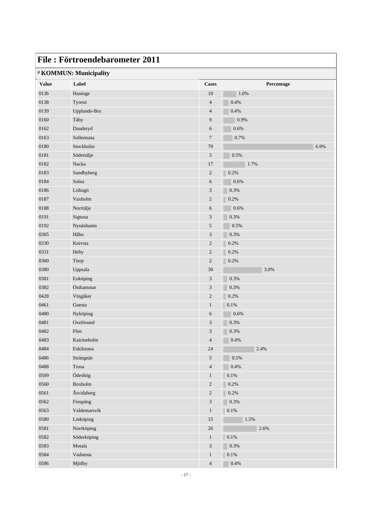| File: Förtroendebarometer 2011 |                        |                             |            |  |  |  |
|--------------------------------|------------------------|-----------------------------|------------|--|--|--|
|                                | # KOMMUN: Municipality |                             |            |  |  |  |
| <b>Value</b>                   | Label                  | <b>Cases</b>                | Percentage |  |  |  |
| 0136                           | Haninge                | 10                          | 1.0%       |  |  |  |
| 0138                           | Tyresö                 | $\overline{4}$              | 0.4%       |  |  |  |
| 0139                           | Upplands-Bro           | $\overline{4}$              | 0.4%       |  |  |  |
| 0160                           | Täby                   | 9                           | 0.9%       |  |  |  |
| 0162                           | Danderyd               | 6                           | $0.6\%$    |  |  |  |
| 0163                           | Sollentuna             | $\overline{7}$              | 0.7%       |  |  |  |
| 0180                           | Stockholm              | 70                          | 6.9%       |  |  |  |
| 0181                           | Södertälje             | 5                           | 0.5%       |  |  |  |
| 0182                           | Nacka                  | 17                          | 1.7%       |  |  |  |
| 0183                           | Sundbyberg             | $\boldsymbol{2}$            | 0.2%       |  |  |  |
| 0184                           | Solna                  | 6                           | 0.6%       |  |  |  |
| 0186                           | Lidingö                | $\mathfrak{Z}$              | 0.3%       |  |  |  |
| 0187                           | Vaxholm                | $\mathbf{2}$                | 0.2%       |  |  |  |
| 0188                           | Norrtälje              | 6                           | 0.6%       |  |  |  |
| 0191                           | Sigtuna                | 3                           | 0.3%       |  |  |  |
| 0192                           | Nynäshamn              | 5                           | 0.5%       |  |  |  |
| 0305                           | Håbo                   | 3                           | 0.3%       |  |  |  |
| 0330                           | Knivsta                | $\boldsymbol{2}$            | 0.2%       |  |  |  |
| 0331                           | Heby                   | $\overline{c}$              | 0.2%       |  |  |  |
| 0360                           | Tierp                  | $\mathbf{2}$                | 0.2%       |  |  |  |
| 0380                           | Uppsala                | 30                          | 3.0%       |  |  |  |
| 0381                           | Enköping               | 3                           | 0.3%       |  |  |  |
| 0382                           | Östhammar              | $\mathfrak{Z}$              | 0.3%       |  |  |  |
| 0428                           | Vingåker               | $\boldsymbol{2}$            | 0.2%       |  |  |  |
| 0461                           | Gnesta                 | $\mathbf{1}$                | $0.1\%$    |  |  |  |
| 0480                           | Nyköping               | 6                           | 0.6%       |  |  |  |
| 0481                           | Oxelösund              | 3                           | 0.3%       |  |  |  |
| 0482                           | Flen                   | 3                           | 0.3%       |  |  |  |
| 0483                           | Katrineholm            | $\overline{4}$              | 0.4%       |  |  |  |
| 0484                           | Eskilstuna             | 24                          | 2.4%       |  |  |  |
| 0486                           | Strängnäs              | 5                           | $0.5\%$    |  |  |  |
| 0488                           | Trosa                  | $\overline{4}$              | 0.4%       |  |  |  |
| 0509                           | Ödeshög                | $\mathbf{1}$                | $0.1\%$    |  |  |  |
| 0560                           | Boxholm                | $\sqrt{2}$                  | 0.2%       |  |  |  |
| 0561                           | Åtvidaberg             | $\boldsymbol{2}$            | 0.2%       |  |  |  |
| 0562                           | Finspång               | $\ensuremath{\mathfrak{Z}}$ | 0.3%       |  |  |  |
| 0563                           | Valdemarsvik           | $\mathbf{1}$                | $0.1\%$    |  |  |  |
| 0580                           | Linköping              | 15                          | 1.5%       |  |  |  |
| 0581                           | Norrköping             | $26\,$                      | 2.6%       |  |  |  |
| 0582                           | Söderköping            | $\mathbf{1}$                | $0.1\%$    |  |  |  |
| 0583                           | Motala                 | $\sqrt{3}$                  | 0.3%       |  |  |  |
| 0584                           | Vadstena               | $\mathbf{1}$                | $0.1\%$    |  |  |  |
| 0586                           | Mjölby                 | $\overline{4}$              | $0.4\%$    |  |  |  |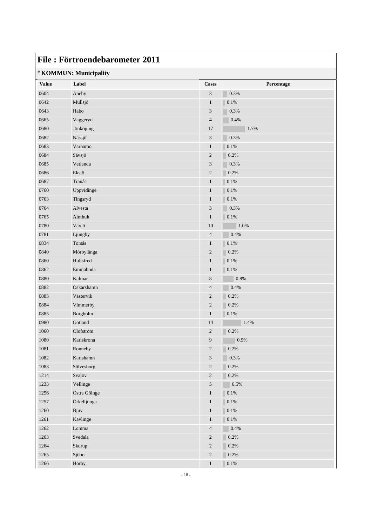|              | File: Förtroendebarometer 2011 |                             |                 |
|--------------|--------------------------------|-----------------------------|-----------------|
|              | # KOMMUN: Municipality         |                             |                 |
| <b>Value</b> | Label                          | <b>Cases</b>                | Percentage      |
| 0604         | Aneby                          | 3                           | 0.3%            |
| 0642         | Mullsjö                        | $\mathbf{1}$                | 0.1%            |
| 0643         | Habo                           | 3                           | 0.3%            |
| 0665         | Vaggeryd                       | $\overline{4}$              | 0.4%            |
| 0680         | Jönköping                      | 17                          | 1.7%            |
| 0682         | Nässjö                         | $\mathfrak{Z}$              | 0.3%            |
| 0683         | Värnamo                        | $\mathbf{1}$                | 0.1%            |
| 0684         | Sävsjö                         | $\mathbf{2}$                | 0.2%            |
| 0685         | Vetlanda                       | $\mathfrak 3$               | 0.3%            |
| 0686         | Eksjö                          | $\mathbf{2}$                | 0.2%            |
| 0687         | Tranås                         | $\mathbf{1}$                | 0.1%            |
| 0760         | Uppvidinge                     | $\mathbf{1}$                | 0.1%            |
| 0763         | Tingsryd                       | $\mathbf{1}$                | 0.1%            |
| 0764         | Alvesta                        | $\mathfrak{Z}$              | 0.3%            |
| 0765         | Älmhult                        | $\mathbf{1}$                | 0.1%            |
| 0780         | Växjö                          | 10                          | 1.0%            |
| 0781         | Ljungby                        | $\overline{4}$              | 0.4%            |
| 0834         | Torsås                         | $\mathbf{1}$                | $0.1\%$         |
| 0840         | Mörbylånga                     | $\boldsymbol{2}$            | 0.2%            |
| 0860         | Hultsfred                      | $\mathbf{1}$                | 0.1%            |
| 0862         | Emmaboda                       | $\mathbf{1}$                | 0.1%            |
| 0880         | Kalmar                         | $\,$ 8 $\,$                 | $0.8\%$         |
| 0882         | Oskarshamn                     | $\overline{4}$              | 0.4%            |
| 0883         | Västervik                      | $\overline{c}$              | 0.2%            |
| 0884         | Vimmerby                       | $\sqrt{2}$                  | 0.2%            |
| 0885         | Borgholm                       | $\mathbf{1}$                | 0.1%            |
| 0980         | Gotland                        | 14                          | 1.4%            |
| 1060         | Olofström                      | $\overline{2}$              | $\bigcirc$ 0.2% |
| 1080         | Karlskrona                     | 9                           | 0.9%            |
| $1081\,$     | Ronneby                        | $\boldsymbol{2}$            | $0.2\%$         |
| 1082         | Karlshamn                      | $\ensuremath{\mathfrak{Z}}$ | 0.3%            |
| 1083         | Sölvesborg                     | $\sqrt{2}$                  | $0.2\%$         |
| 1214         | Svalöv                         | $\boldsymbol{2}$            | $0.2\%$         |
| 1233         | Vellinge                       | $\sqrt{5}$                  | $0.5\%$         |
| 1256         | Östra Göinge                   | $\mathbf{1}$                | $0.1\%$         |
| 1257         | Örkelljunga                    | $\mathbf{1}$                | $0.1\%$         |
| 1260         | Bjuv                           | $\mathbf{1}$                | $0.1\%$         |
| 1261         | Kävlinge                       | $\mathbf{1}$                | $0.1\%$         |
| 1262         | Lomma                          | $\overline{4}$              | $0.4\%$         |
| 1263         | Svedala                        | $\boldsymbol{2}$            | $0.2\%$         |
| 1264         | Skurup                         | $\boldsymbol{2}$            | $0.2\%$         |
| 1265         | Sjöbo                          | $\sqrt{2}$                  | $0.2\%$         |
| 1266         | Hörby                          | $\,1$                       | $0.1\%$         |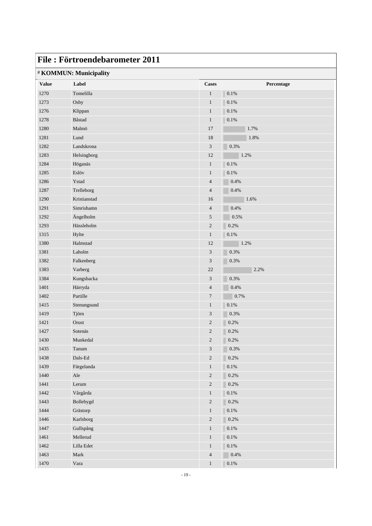|              | File: Förtroendebarometer 2011 |                  |            |
|--------------|--------------------------------|------------------|------------|
|              | # KOMMUN: Municipality         |                  |            |
| <b>Value</b> | Label                          | <b>Cases</b>     | Percentage |
| 1270         | Tomelilla                      | $\mathbf{1}$     | 0.1%       |
| 1273         | Osby                           | $\mathbf{1}$     | 0.1%       |
| 1276         | Klippan                        | $\mathbf{1}$     | 0.1%       |
| 1278         | Båstad                         | $\mathbf{1}$     | 0.1%       |
| 1280         | Malmö                          | 17               | 1.7%       |
| 1281         | Lund                           | 18               | 1.8%       |
| 1282         | Landskrona                     | 3                | 0.3%       |
| 1283         | Helsingborg                    | 12               | 1.2%       |
| 1284         | Höganäs                        | $\mathbf{1}$     | 0.1%       |
| 1285         | Eslöv                          | $\mathbf{1}$     | 0.1%       |
| 1286         | Ystad                          | $\overline{4}$   | 0.4%       |
| 1287         | Trelleborg                     | $\overline{4}$   | 0.4%       |
| 1290         | Kristianstad                   | 16               | 1.6%       |
| 1291         | Simrishamn                     | $\overline{4}$   | 0.4%       |
| 1292         | Ängelholm                      | 5                | 0.5%       |
| 1293         | Hässleholm                     | $\boldsymbol{2}$ | 0.2%       |
| 1315         | Hylte                          | $\mathbf{1}$     | $0.1\%$    |
| 1380         | Halmstad                       | 12               | 1.2%       |
| 1381         | Laholm                         | $\mathfrak{Z}$   | 0.3%       |
| 1382         | Falkenberg                     | 3                | 0.3%       |
| 1383         | Varberg                        | 22               | 2.2%       |
| 1384         | Kungsbacka                     | $\mathfrak{Z}$   | 0.3%       |
| 1401         | Härryda                        | $\overline{4}$   | 0.4%       |
| 1402         | Partille                       | $\overline{7}$   | 0.7%       |
| 1415         | Stenungsund                    | $\mathbf{1}$     | 0.1%       |
| 1419         | Tjörn                          | 3                | 0.3%       |
| 1421         | Orust                          | $\overline{2}$   | 0.2%       |
| 1427         | Sotenäs                        | $\overline{c}$   | 0.2%       |
| 1430         | Munkedal                       | $\sqrt{2}$       | $0.2\%$    |
| 1435         | Tanum                          | $\mathfrak{Z}$   | $0.3\%$    |
| 1438         | $\rm Dals\text{-}Ed$           | $\sqrt{2}$       | $0.2\%$    |
| 1439         | Färgelanda                     | $\mathbf{1}$     | $0.1\%$    |
| 1440         | Ale                            | $\overline{c}$   | $0.2\%$    |
| 1441         | ${\rm Lerum}$                  | $\sqrt{2}$       | $0.2\%$    |
| 1442         | Vårgårda                       | $\mathbf{1}$     | $0.1\%$    |
| 1443         | Bollebygd                      | $\sqrt{2}$       | $0.2\%$    |
| 1444         | Grästorp                       | $\mathbf{1}$     | $0.1\%$    |
| 1446         | Karlsborg                      | $\overline{c}$   | $0.2\%$    |
| 1447         | Gullspång                      | $\mathbf{1}$     | $0.1\%$    |
| 1461         | Mellerud                       | $\,1\,$          | $0.1\%$    |
| 1462         | Lilla Edet                     | $\,1\,$          | $0.1\%$    |
| 1463         | ${\rm Mark}$                   | $\sqrt{4}$       | $0.4\%$    |
| 1470         | Vara                           | $\,1$            | $0.1\%$    |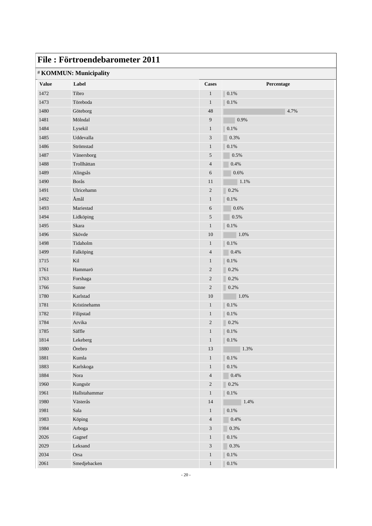|              | File: Förtroendebarometer 2011 |                          |              |
|--------------|--------------------------------|--------------------------|--------------|
|              | # KOMMUN: Municipality         |                          |              |
| <b>Value</b> | Label                          | <b>Cases</b>             | Percentage   |
| 1472         | Tibro                          | $\mathbf{1}$             | 0.1%         |
| 1473         | Töreboda                       | $\mathbf{1}$             | 0.1%         |
| 1480         | Göteborg                       | 48                       | 4.7%         |
| 1481         | Mölndal                        | 9                        | 0.9%         |
| 1484         | Lysekil                        | $\mathbf{1}$             | 0.1%         |
| 1485         | Uddevalla                      | 3                        | 0.3%         |
| 1486         | Strömstad                      | $\mathbf{1}$             | $0.1\%$      |
| 1487         | Vänersborg                     | 5                        | 0.5%         |
| 1488         | Trollhättan                    | $\overline{\mathcal{L}}$ | 0.4%         |
| 1489         | Alingsås                       | 6                        | 0.6%         |
| 1490         | Borås                          | 11                       | 1.1%         |
| 1491         | Ulricehamn                     | $\mathbf{2}$             | 0.2%         |
| 1492         | Åmål                           | $\mathbf{1}$             | $0.1\%$      |
| 1493         | Mariestad                      | 6                        | 0.6%         |
| 1494         | Lidköping                      | 5                        | 0.5%         |
| 1495         | Skara                          | $\mathbf{1}$             | $0.1\%$      |
| 1496         | Skövde                         | 10                       | 1.0%         |
| 1498         | Tidaholm                       | $\mathbf{1}$             | 0.1%         |
| 1499         | Falköping                      | $\overline{4}$           | 0.4%         |
| 1715         | Kil                            | $\mathbf{1}$             | 0.1%         |
| 1761         | Hammarö                        | $\sqrt{2}$               | 0.2%         |
| 1763         | Forshaga                       | $\overline{c}$           | 0.2%         |
| 1766         | Sunne                          | $\sqrt{2}$               | 0.2%         |
| 1780         | Karlstad                       | 10                       | 1.0%         |
| 1781         | Kristinehamn                   | $\mathbf{1}$             | 0.1%         |
| 1782         | Filipstad                      | $\mathbf{1}$             | 0.1%         |
| 1784         | Arvika                         | $\mathbf{2}$             | 0.2%         |
| 1785         | Säffle                         | $\mathbf{1}$             | $\vert$ 0.1% |
| 1814         | Lekeberg                       | $\mathbf{1}$             | $0.1\%$      |
| $1880\,$     | Örebro                         | $13\,$                   | 1.3%         |
| 1881         | Kumla                          | $\mathbf{1}$             | $0.1\%$      |
| 1883         | Karlskoga                      | $\mathbf{1}$             | $0.1\%$      |
| 1884         | Nora                           | $\overline{\mathcal{A}}$ | $0.4\%$      |
| 1960         | Kungsör                        | $\sqrt{2}$               | $0.2\%$      |
| 1961         | Hallstahammar                  | $\mathbf{1}$             | $0.1\%$      |
| 1980         | Västerås                       | $14\,$                   | $1.4\%$      |
| 1981         | Sala                           | $\mathbf{1}$             | $0.1\%$      |
| 1983         | Köping                         | $\overline{4}$           | 0.4%         |
| 1984         | Arboga                         | 3                        | $0.3\%$      |
| $2026\,$     | Gagnef                         | $\,1$                    | $0.1\%$      |
| $2029\,$     | Leksand                        | $\mathfrak{Z}$           | 0.3%         |
| 2034         | Orsa                           | $\,1$                    | $0.1\%$      |
| 2061         | Smedjebacken                   | $\,1$                    | $0.1\%$      |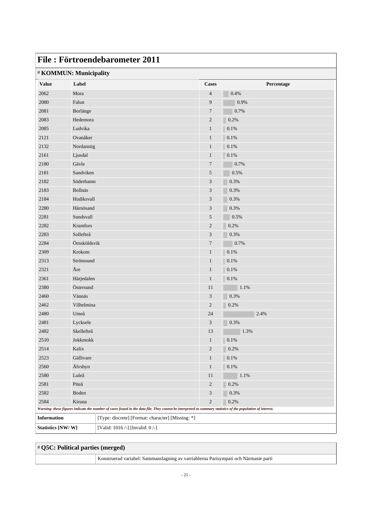| File: Förtroendebarometer 2011                        |                |                                                                                                                                                             |                         |            |  |
|-------------------------------------------------------|----------------|-------------------------------------------------------------------------------------------------------------------------------------------------------------|-------------------------|------------|--|
| # KOMMUN: Municipality                                |                |                                                                                                                                                             |                         |            |  |
| <b>Value</b>                                          | Label          |                                                                                                                                                             | <b>Cases</b>            | Percentage |  |
| 2062                                                  | Mora           |                                                                                                                                                             | $\overline{4}$          | 0.4%       |  |
| 2080                                                  | Falun          |                                                                                                                                                             | 9                       | 0.9%       |  |
| 2081                                                  | Borlänge       |                                                                                                                                                             | $\overline{7}$          | 0.7%       |  |
| 2083                                                  | Hedemora       |                                                                                                                                                             | 2                       | 0.2%       |  |
| 2085                                                  | Ludvika        |                                                                                                                                                             | $\mathbf{1}$            | 0.1%       |  |
| 2121                                                  | Ovanåker       |                                                                                                                                                             | $\mathbf{1}$            | 0.1%       |  |
| 2132                                                  | Nordanstig     |                                                                                                                                                             | $\mathbf{1}$            | 0.1%       |  |
| 2161                                                  | Ljusdal        |                                                                                                                                                             | $\mathbf{1}$            | 0.1%       |  |
| 2180                                                  | Gävle          |                                                                                                                                                             | 7                       | 0.7%       |  |
| 2181                                                  | Sandviken      |                                                                                                                                                             | 5                       | 0.5%       |  |
| 2182                                                  | Söderhamn      |                                                                                                                                                             | 3                       | 0.3%       |  |
| 2183                                                  | <b>Bollnäs</b> |                                                                                                                                                             | 3                       | 0.3%       |  |
| 2184                                                  | Hudiksvall     |                                                                                                                                                             | 3                       | 0.3%       |  |
| 2280                                                  | Härnösand      |                                                                                                                                                             | 3                       | 0.3%       |  |
| 2281                                                  | Sundsvall      |                                                                                                                                                             | 5                       | 0.5%       |  |
| 2282                                                  | Kramfors       |                                                                                                                                                             | $\overline{c}$          | 0.2%       |  |
| 2283                                                  | Sollefteå      |                                                                                                                                                             | 3                       | 0.3%       |  |
| 2284                                                  | Örnsköldsvik   |                                                                                                                                                             | 7                       | 0.7%       |  |
| 2309                                                  | Krokom         |                                                                                                                                                             | $\mathbf{1}$            | 0.1%       |  |
| 2313                                                  | Strömsund      |                                                                                                                                                             | $\mathbf{1}$            | 0.1%       |  |
| 2321                                                  | Åre            |                                                                                                                                                             | $\mathbf{1}$            | 0.1%       |  |
| 2361                                                  | Härjedalen     |                                                                                                                                                             | $\mathbf{1}$            | $0.1\%$    |  |
| 2380                                                  | Östersund      |                                                                                                                                                             | 11                      | 1.1%       |  |
| 2460                                                  | Vännäs         |                                                                                                                                                             | 3                       | 0.3%       |  |
| 2462                                                  | Vilhelmina     |                                                                                                                                                             | $\mathbf{2}$            | 0.2%       |  |
| 2480                                                  | Umeå           |                                                                                                                                                             | 24                      | 2.4%       |  |
| 2481                                                  | Lycksele       |                                                                                                                                                             | 3                       | 0.3%       |  |
| 2482                                                  | Skellefteå     |                                                                                                                                                             | $13\,$                  | $1.3\%$    |  |
| 2510                                                  | Jokkmokk       |                                                                                                                                                             | $\mathbf{1}$            | 0.1%       |  |
| 2514                                                  | Kalix          |                                                                                                                                                             | $\overline{\mathbf{c}}$ | 0.2%       |  |
| 2523                                                  | Gällivare      |                                                                                                                                                             | $\mathbf{1}$            | $0.1\%$    |  |
| 2560                                                  | Älvsbyn        |                                                                                                                                                             | $\mathbf{1}$            | $0.1\%$    |  |
| 2580                                                  | Luleå          |                                                                                                                                                             | $11\,$                  | 1.1%       |  |
| 2581                                                  | Piteå          |                                                                                                                                                             | $\boldsymbol{2}$        | 0.2%       |  |
| 2582                                                  | Boden          |                                                                                                                                                             | 3                       | 0.3%       |  |
| 2584                                                  | Kiruna         |                                                                                                                                                             | $\overline{c}$          | 0.2%       |  |
|                                                       |                | Warning: these figures indicate the number of cases found in the data file. They cannot be interpreted as summary statistics of the population of interest. |                         |            |  |
| <b>Information</b>                                    |                | [Type: discrete] [Format: character] [Missing: *]                                                                                                           |                         |            |  |
| Statistics [NW/W]<br>[Valid: 1016 /-] [Invalid: 0 /-] |                |                                                                                                                                                             |                         |            |  |

| # Q5C: Political parties (merged) |                                                                                     |
|-----------------------------------|-------------------------------------------------------------------------------------|
|                                   | Konstruerad variabel: Sammanslagning av varriablerna Parisympati och Närmaste parti |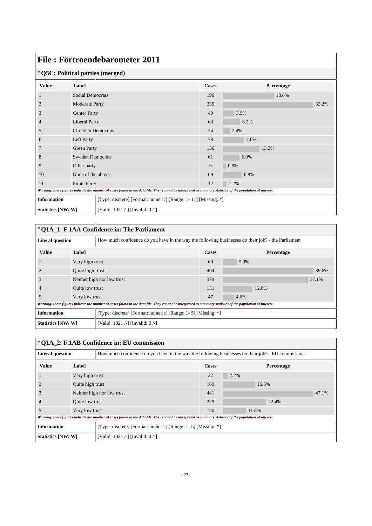| File: Förtroendebarometer 2011 |                                   |                                                                                                                                                             |                                                               |            |       |  |  |
|--------------------------------|-----------------------------------|-------------------------------------------------------------------------------------------------------------------------------------------------------------|---------------------------------------------------------------|------------|-------|--|--|
|                                | # Q5C: Political parties (merged) |                                                                                                                                                             |                                                               |            |       |  |  |
| <b>Value</b>                   | Label                             |                                                                                                                                                             | <b>Cases</b>                                                  | Percentage |       |  |  |
|                                | <b>Social Democrats</b>           |                                                                                                                                                             | 190                                                           | 18.6%      |       |  |  |
| $\overline{2}$                 | <b>Moderate Party</b>             |                                                                                                                                                             | 339                                                           |            | 33.2% |  |  |
| 3                              | <b>Center Party</b>               |                                                                                                                                                             | 40                                                            | 3.9%       |       |  |  |
| 4                              | <b>Liberal Party</b>              |                                                                                                                                                             | 63                                                            | 6.2%       |       |  |  |
| 5                              | <b>Christian Democrats</b>        |                                                                                                                                                             | 24                                                            | 2.4%       |       |  |  |
| 6                              | Left Party                        |                                                                                                                                                             | 78                                                            | 7.6%       |       |  |  |
|                                | Green Party                       |                                                                                                                                                             | 136                                                           | 13.3%      |       |  |  |
| 8                              | <b>Sweden Democrats</b>           |                                                                                                                                                             | 61                                                            | 6.0%       |       |  |  |
| 9                              | Other party                       |                                                                                                                                                             | 9                                                             | 0.9%       |       |  |  |
| 10                             | None of the above                 |                                                                                                                                                             | 69                                                            | 6.8%       |       |  |  |
| Pirate Party<br>11             |                                   | 12                                                                                                                                                          | 1.2%                                                          |            |       |  |  |
|                                |                                   | Warning: these figures indicate the number of cases found in the data file. They cannot be interpreted as summary statistics of the population of interest. |                                                               |            |       |  |  |
| <b>Information</b>             |                                   |                                                                                                                                                             | [Type: discrete] [Format: numeric] [Range: 1-11] [Missing: *] |            |       |  |  |
| Statistics [NW/W]              |                                   | [Valid: 1021 /-] [Invalid: 0/-]                                                                                                                             |                                                               |            |       |  |  |

| $\#$ O1A 1: F.1AA Confidence in: The Parliament                                                                               |                  |                                                                                                                                                             |              |            |       |  |  |  |
|-------------------------------------------------------------------------------------------------------------------------------|------------------|-------------------------------------------------------------------------------------------------------------------------------------------------------------|--------------|------------|-------|--|--|--|
| <b>Literal question</b><br>How much confidence do you have in the way the following businesses do their job? - the Parliament |                  |                                                                                                                                                             |              |            |       |  |  |  |
| <b>Value</b>                                                                                                                  | Label            |                                                                                                                                                             | <b>Cases</b> | Percentage |       |  |  |  |
|                                                                                                                               | Very high trust  |                                                                                                                                                             | 60           | 5.9%       |       |  |  |  |
| $\overline{2}$                                                                                                                | Quite high trust |                                                                                                                                                             | 404          |            | 39.6% |  |  |  |
| 3                                                                                                                             |                  | Neither high nor low trust                                                                                                                                  | 379          |            | 37.1% |  |  |  |
|                                                                                                                               | Quite low trust  |                                                                                                                                                             | 131          | 12.8%      |       |  |  |  |
| 5                                                                                                                             | Very low trust   |                                                                                                                                                             | 47           | 4.6%       |       |  |  |  |
|                                                                                                                               |                  | Warning: these figures indicate the number of cases found in the data file. They cannot be interpreted as summary statistics of the population of interest. |              |            |       |  |  |  |
| <b>Information</b><br>[Type: discrete] [Format: numeric] [Range: 1- 5] [Missing: *]                                           |                  |                                                                                                                                                             |              |            |       |  |  |  |
| Statistics [NW/W]<br>[Valid: 1021 /-] [Invalid: $0$ /-]                                                                       |                  |                                                                                                                                                             |              |            |       |  |  |  |

| # Q1A_2: F.1AB Confidence in: EU commission                                                                                  |                  |                                                                                                                                                             |              |       |            |       |  |  |
|------------------------------------------------------------------------------------------------------------------------------|------------------|-------------------------------------------------------------------------------------------------------------------------------------------------------------|--------------|-------|------------|-------|--|--|
| <b>Literal question</b><br>How much confidence do you have in the way the following businesses do their job? - EU commission |                  |                                                                                                                                                             |              |       |            |       |  |  |
| <b>Value</b>                                                                                                                 | Label            |                                                                                                                                                             | <b>Cases</b> |       | Percentage |       |  |  |
|                                                                                                                              | Very high trust  |                                                                                                                                                             | 22           | 2.2%  |            |       |  |  |
|                                                                                                                              | Quite high trust |                                                                                                                                                             | 169          | 16.6% |            |       |  |  |
|                                                                                                                              |                  | Neither high nor low trust                                                                                                                                  | 481          |       |            | 47.1% |  |  |
|                                                                                                                              | Quite low trust  |                                                                                                                                                             | 229          |       | 22.4%      |       |  |  |
| э                                                                                                                            | Very low trust   |                                                                                                                                                             | 120          | 11.8% |            |       |  |  |
|                                                                                                                              |                  | Warning: these figures indicate the number of cases found in the data file. They cannot be interpreted as summary statistics of the population of interest. |              |       |            |       |  |  |
| <b>Information</b><br>[Type: discrete] [Format: numeric] [Range: 1- 5] [Missing: *]                                          |                  |                                                                                                                                                             |              |       |            |       |  |  |
| [Valid: 1021 /-] [Invalid: 0 /-]<br>Statistics [NW/W]                                                                        |                  |                                                                                                                                                             |              |       |            |       |  |  |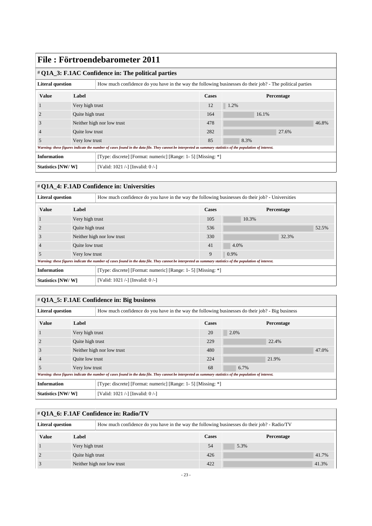## **File : Förtroendebarometer 2011** # **Q1A\_3: F.1AC Confidence in: The political parties** Literal question **How** much confidence do you have in the way the following businesses do their job? - The political parties **Value Label Cases Percentage** 1 Very high trust 12 12 1.2% 2 Quite high trust 164 16.1% 3 Neither high nor low trust 478 46.8% 4 Quite low trust 282 27.6% 5 Very low trust 8.3% *Warning: these figures indicate the number of cases found in the data file. They cannot be interpreted as summary statistics of the population of interest.* **Information** [Type: discrete] [Format: numeric] [Range: 1-5] [Missing: \*] **Statistics [NW/ W]** [Valid: 1021 /-] [Invalid: 0 /-]

#### # **Q1A\_4: F.1AD Confidence in: Universities**

| <b>Literal question</b>                               |                  | How much confidence do you have in the way the following businesses do their job? - Universities                                                            |       |                   |       |  |  |
|-------------------------------------------------------|------------------|-------------------------------------------------------------------------------------------------------------------------------------------------------------|-------|-------------------|-------|--|--|
| <b>Value</b>                                          | Label            |                                                                                                                                                             | Cases | <b>Percentage</b> |       |  |  |
|                                                       | Very high trust  |                                                                                                                                                             | 105   | 10.3%             |       |  |  |
| $\overline{2}$                                        | Quite high trust |                                                                                                                                                             | 536   |                   | 52.5% |  |  |
| 3                                                     |                  | Neither high nor low trust                                                                                                                                  | 330   |                   | 32.3% |  |  |
|                                                       | Quite low trust  |                                                                                                                                                             | 41    | 4.0%              |       |  |  |
| 5                                                     | Very low trust   |                                                                                                                                                             | 9     | 0.9%              |       |  |  |
|                                                       |                  | Warning: these figures indicate the number of cases found in the data file. They cannot be interpreted as summary statistics of the population of interest. |       |                   |       |  |  |
| <b>Information</b>                                    |                  | [Type: discrete] [Format: numeric] [Range: 1- 5] [Missing: *]                                                                                               |       |                   |       |  |  |
| Statistics [NW/W]<br>[Valid: 1021 /-] [Invalid: 0 /-] |                  |                                                                                                                                                             |       |                   |       |  |  |

#### # **Q1A\_5: F.1AE Confidence in: Big business**

| <b>Literal question</b>                                                             |                  | How much confidence do you have in the way the following businesses do their job? - Big business                                                            |       |            |  |  |  |
|-------------------------------------------------------------------------------------|------------------|-------------------------------------------------------------------------------------------------------------------------------------------------------------|-------|------------|--|--|--|
| <b>Value</b>                                                                        | Label            |                                                                                                                                                             | Cases | Percentage |  |  |  |
|                                                                                     | Very high trust  |                                                                                                                                                             | 20    | 2.0%       |  |  |  |
|                                                                                     | Quite high trust |                                                                                                                                                             | 229   | 22.4%      |  |  |  |
| 3                                                                                   |                  | Neither high nor low trust                                                                                                                                  | 480   | 47.0%      |  |  |  |
|                                                                                     | Quite low trust  |                                                                                                                                                             | 224   | 21.9%      |  |  |  |
| 5                                                                                   | Very low trust   |                                                                                                                                                             | 68    | 6.7%       |  |  |  |
|                                                                                     |                  | Warning: these figures indicate the number of cases found in the data file. They cannot be interpreted as summary statistics of the population of interest. |       |            |  |  |  |
| <b>Information</b><br>[Type: discrete] [Format: numeric] [Range: 1- 5] [Missing: *] |                  |                                                                                                                                                             |       |            |  |  |  |
| Statistics [NW/W]<br>[Valid: 1021 /-] [Invalid: 0 /-]                               |                  |                                                                                                                                                             |       |            |  |  |  |

| # Q1A_6: F.1AF Confidence in: Radio/TV                                                                                  |                            |  |     |            |       |  |  |  |
|-------------------------------------------------------------------------------------------------------------------------|----------------------------|--|-----|------------|-------|--|--|--|
| How much confidence do you have in the way the following businesses do their job? - Radio/TV<br><b>Literal question</b> |                            |  |     |            |       |  |  |  |
| <b>Value</b>                                                                                                            | Label                      |  |     | Percentage |       |  |  |  |
|                                                                                                                         | Very high trust            |  | 54  | 5.3%       |       |  |  |  |
|                                                                                                                         | Quite high trust           |  | 426 |            | 41.7% |  |  |  |
|                                                                                                                         | Neither high nor low trust |  | 422 |            | 41.3% |  |  |  |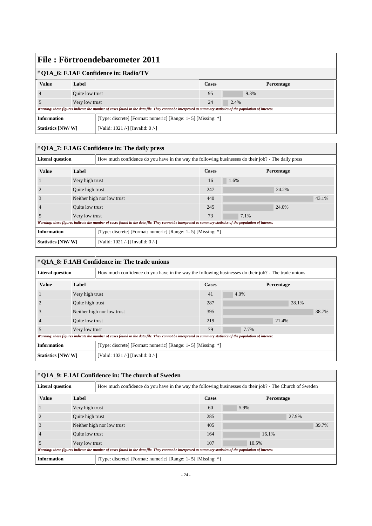| File: Förtroendebarometer 2011                                                      |                 |                                                                                                                                                             |              |            |  |  |  |
|-------------------------------------------------------------------------------------|-----------------|-------------------------------------------------------------------------------------------------------------------------------------------------------------|--------------|------------|--|--|--|
| # Q1A_6: F.1AF Confidence in: Radio/TV                                              |                 |                                                                                                                                                             |              |            |  |  |  |
| <b>Value</b>                                                                        | Label           |                                                                                                                                                             | <b>Cases</b> | Percentage |  |  |  |
|                                                                                     | Quite low trust |                                                                                                                                                             | 95           | 9.3%       |  |  |  |
|                                                                                     | Very low trust  |                                                                                                                                                             | 24           | 2.4%       |  |  |  |
|                                                                                     |                 | Warning: these figures indicate the number of cases found in the data file. They cannot be interpreted as summary statistics of the population of interest. |              |            |  |  |  |
| <b>Information</b><br>[Type: discrete] [Format: numeric] [Range: 1- 5] [Missing: *] |                 |                                                                                                                                                             |              |            |  |  |  |
| Statistics [NW/W]<br>[Valid: 1021 /-] [Invalid: 0 /-]                               |                 |                                                                                                                                                             |              |            |  |  |  |

| $\#$ Q1A_7: F.1AG Confidence in: The daily press                                                                               |                  |                                                                                                                                                             |     |      |            |       |  |  |
|--------------------------------------------------------------------------------------------------------------------------------|------------------|-------------------------------------------------------------------------------------------------------------------------------------------------------------|-----|------|------------|-------|--|--|
| <b>Literal question</b><br>How much confidence do you have in the way the following businesses do their job? - The daily press |                  |                                                                                                                                                             |     |      |            |       |  |  |
| <b>Value</b>                                                                                                                   | Label            |                                                                                                                                                             |     |      | Percentage |       |  |  |
|                                                                                                                                | Very high trust  |                                                                                                                                                             | 16  | 1.6% |            |       |  |  |
|                                                                                                                                | Quite high trust |                                                                                                                                                             | 247 |      | 24.2%      |       |  |  |
| 3                                                                                                                              |                  | Neither high nor low trust                                                                                                                                  | 440 |      |            | 43.1% |  |  |
|                                                                                                                                | Quite low trust  |                                                                                                                                                             | 245 |      | 24.0%      |       |  |  |
| 5                                                                                                                              | Very low trust   |                                                                                                                                                             | 73  | 7.1% |            |       |  |  |
|                                                                                                                                |                  | Warning: these figures indicate the number of cases found in the data file. They cannot be interpreted as summary statistics of the population of interest. |     |      |            |       |  |  |
| Information<br>[Type: discrete] [Format: numeric] [Range: 1-5] [Missing: *]                                                    |                  |                                                                                                                                                             |     |      |            |       |  |  |
| Statistics [NW/W]                                                                                                              |                  | [Valid: 1021 /-] [Invalid: $0$ /-]                                                                                                                          |     |      |            |       |  |  |

| # Q1A_8: F.1AH Confidence in: The trade unions                                                                                  |                  |                                                                                                                                                             |              |            |       |  |  |  |
|---------------------------------------------------------------------------------------------------------------------------------|------------------|-------------------------------------------------------------------------------------------------------------------------------------------------------------|--------------|------------|-------|--|--|--|
| <b>Literal question</b><br>How much confidence do you have in the way the following businesses do their job? - The trade unions |                  |                                                                                                                                                             |              |            |       |  |  |  |
| <b>Value</b>                                                                                                                    | Label            |                                                                                                                                                             | <b>Cases</b> | Percentage |       |  |  |  |
|                                                                                                                                 |                  | Very high trust                                                                                                                                             |              | 4.0%       |       |  |  |  |
|                                                                                                                                 | Quite high trust |                                                                                                                                                             | 287          |            | 28.1% |  |  |  |
| $\Delta$                                                                                                                        |                  | Neither high nor low trust                                                                                                                                  | 395          |            | 38.7% |  |  |  |
|                                                                                                                                 | Quite low trust  |                                                                                                                                                             | 219          |            | 21.4% |  |  |  |
| 5                                                                                                                               | Very low trust   |                                                                                                                                                             | 79           | 7.7%       |       |  |  |  |
|                                                                                                                                 |                  | Warning: these figures indicate the number of cases found in the data file. They cannot be interpreted as summary statistics of the population of interest. |              |            |       |  |  |  |
| <b>Information</b><br>[Type: discrete] [Format: numeric] [Range: 1- 5] [Missing: *]                                             |                  |                                                                                                                                                             |              |            |       |  |  |  |
| Statistics [NW/W]<br>[Valid: 1021 /-] [Invalid: 0 /-]                                                                           |                  |                                                                                                                                                             |              |            |       |  |  |  |

| # Q1A_9: F.1AI Confidence in: The church of Sweden                                  |                                                                                                                                                             |                                                                                                          |              |  |            |       |       |  |
|-------------------------------------------------------------------------------------|-------------------------------------------------------------------------------------------------------------------------------------------------------------|----------------------------------------------------------------------------------------------------------|--------------|--|------------|-------|-------|--|
| <b>Literal question</b>                                                             |                                                                                                                                                             | How much confidence do you have in the way the following businesses do their job? - The Church of Sweden |              |  |            |       |       |  |
| <b>Value</b>                                                                        | Label                                                                                                                                                       |                                                                                                          | <b>Cases</b> |  | Percentage |       |       |  |
|                                                                                     | Very high trust                                                                                                                                             |                                                                                                          | 60           |  | 5.9%       |       |       |  |
|                                                                                     | Quite high trust                                                                                                                                            |                                                                                                          | 285          |  |            | 27.9% |       |  |
| 3                                                                                   |                                                                                                                                                             | Neither high nor low trust                                                                               | 405          |  |            |       | 39.7% |  |
|                                                                                     | Quite low trust                                                                                                                                             |                                                                                                          | 164          |  | 16.1%      |       |       |  |
| 5                                                                                   | Very low trust                                                                                                                                              |                                                                                                          | 107          |  | 10.5%      |       |       |  |
|                                                                                     | Warning: these figures indicate the number of cases found in the data file. They cannot be interpreted as summary statistics of the population of interest. |                                                                                                          |              |  |            |       |       |  |
| <b>Information</b><br>[Type: discrete] [Format: numeric] [Range: 1- 5] [Missing: *] |                                                                                                                                                             |                                                                                                          |              |  |            |       |       |  |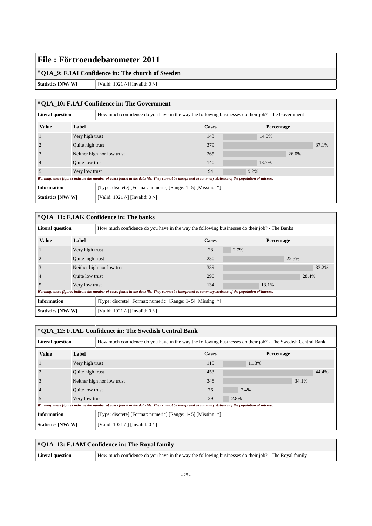#### # **Q1A\_9: F.1AI Confidence in: The church of Sweden**

**Statistics [NW/ W]** [Valid: 1021 /-] [Invalid: 0 /-]

# # **Q1A\_10: F.1AJ Confidence in: The Government**

| <b>Literal question</b>                                                             |                  | How much confidence do you have in the way the following businesses do their job? - the Government                                                          |       |            |       |  |  |
|-------------------------------------------------------------------------------------|------------------|-------------------------------------------------------------------------------------------------------------------------------------------------------------|-------|------------|-------|--|--|
| <b>Value</b>                                                                        | Label            |                                                                                                                                                             | Cases | Percentage |       |  |  |
|                                                                                     | Very high trust  |                                                                                                                                                             | 143   | 14.0%      |       |  |  |
|                                                                                     | Quite high trust |                                                                                                                                                             | 379   |            | 37.1% |  |  |
| 3                                                                                   |                  | Neither high nor low trust                                                                                                                                  |       | 26.0%      |       |  |  |
| $\overline{4}$                                                                      | Quite low trust  |                                                                                                                                                             | 140   | 13.7%      |       |  |  |
| 5                                                                                   | Very low trust   |                                                                                                                                                             | 94    | 9.2%       |       |  |  |
|                                                                                     |                  | Warning: these figures indicate the number of cases found in the data file. They cannot be interpreted as summary statistics of the population of interest. |       |            |       |  |  |
| <b>Information</b><br>[Type: discrete] [Format: numeric] [Range: 1- 5] [Missing: *] |                  |                                                                                                                                                             |       |            |       |  |  |
| <b>Statistics [NW/W]</b>                                                            |                  | [Valid: 1021 /-] [Invalid: 0 /-]                                                                                                                            |       |            |       |  |  |

## # **Q1A\_11: F.1AK Confidence in: The banks**

| <b>Literal question</b> |                  | How much confidence do you have in the way the following businesses do their job? - The Banks                                                               |       |            |       |  |  |  |
|-------------------------|------------------|-------------------------------------------------------------------------------------------------------------------------------------------------------------|-------|------------|-------|--|--|--|
| <b>Value</b>            | Label            |                                                                                                                                                             | Cases | Percentage |       |  |  |  |
|                         | Very high trust  |                                                                                                                                                             | 28    | 2.7%       |       |  |  |  |
|                         | Quite high trust |                                                                                                                                                             | 230   |            | 22.5% |  |  |  |
| J.                      |                  | Neither high nor low trust                                                                                                                                  | 339   |            | 33.2% |  |  |  |
|                         | Quite low trust  |                                                                                                                                                             | 290   |            | 28.4% |  |  |  |
|                         | Very low trust   |                                                                                                                                                             | 134   | 13.1%      |       |  |  |  |
|                         |                  | Warning: these figures indicate the number of cases found in the data file. They cannot be interpreted as summary statistics of the population of interest. |       |            |       |  |  |  |
| <b>Information</b>      |                  | [Type: discrete] [Format: numeric] [Range: 1- 5] [Missing: *]                                                                                               |       |            |       |  |  |  |
| Statistics [NW/W]       |                  | [Valid: 1021 /-] [Invalid: 0 /-]                                                                                                                            |       |            |       |  |  |  |

| # Q1A_12: F.1AL Confidence in: The Swedish Central Bank                                                                                 |                  |                                                                                                                                                             |              |            |       |  |  |  |
|-----------------------------------------------------------------------------------------------------------------------------------------|------------------|-------------------------------------------------------------------------------------------------------------------------------------------------------------|--------------|------------|-------|--|--|--|
| How much confidence do you have in the way the following businesses do their job? - The Swedish Central Bank<br><b>Literal question</b> |                  |                                                                                                                                                             |              |            |       |  |  |  |
| <b>Value</b>                                                                                                                            | Label            |                                                                                                                                                             | <b>Cases</b> | Percentage |       |  |  |  |
|                                                                                                                                         | Very high trust  |                                                                                                                                                             | 115          | 11.3%      |       |  |  |  |
|                                                                                                                                         | Quite high trust |                                                                                                                                                             | 453          |            | 44.4% |  |  |  |
| 3                                                                                                                                       |                  | Neither high nor low trust                                                                                                                                  | 348          |            | 34.1% |  |  |  |
|                                                                                                                                         | Quite low trust  |                                                                                                                                                             | 76           | 7.4%       |       |  |  |  |
| 5                                                                                                                                       | Very low trust   |                                                                                                                                                             | 29           | 2.8%       |       |  |  |  |
|                                                                                                                                         |                  | Warning: these figures indicate the number of cases found in the data file. They cannot be interpreted as summary statistics of the population of interest. |              |            |       |  |  |  |
| <b>Information</b><br>[Type: discrete] [Format: numeric] [Range: 1- 5] [Missing: *]                                                     |                  |                                                                                                                                                             |              |            |       |  |  |  |
| Statistics [NW/W]<br>[Valid: 1021 /-] [Invalid: 0 /-]                                                                                   |                  |                                                                                                                                                             |              |            |       |  |  |  |

| $\#$ Q1A 13: F.1AM Confidence in: The Royal family |                                                                                                      |  |  |  |
|----------------------------------------------------|------------------------------------------------------------------------------------------------------|--|--|--|
| <b>Literal question</b>                            | How much confidence do you have in the way the following businesses do their job? - The Royal family |  |  |  |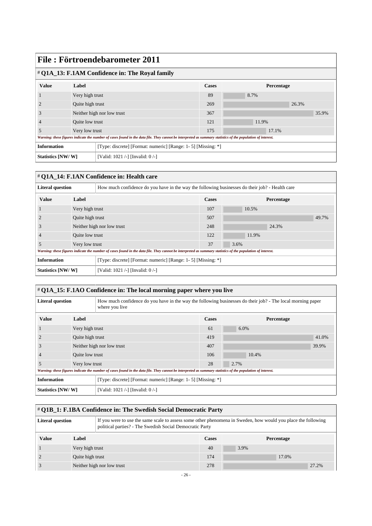## **File : Förtroendebarometer 2011** # **Q1A\_13: F.1AM Confidence in: The Royal family Value Label Cases Percentage** 1 Very high trust 8.7% 2 Quite high trust 269 26.3% 3 Neither high nor low trust 367 35.9% 4 Quite low trust 121 11.9% 5 Very low trust 175 17.1% *Warning: these figures indicate the number of cases found in the data file. They cannot be interpreted as summary statistics of the population of interest.* **Information** [Type: discrete] [Format: numeric] [Range: 1-5] [Missing: \*] **Statistics [NW/ W]** [Valid: 1021 /-] [Invalid: 0 /-]

## # **Q1A\_14: F.1AN Confidence in: Health care**

| How much confidence do you have in the way the following businesses do their job? - Health care<br><b>Literal question</b>                                  |                            |  |       |            |       |
|-------------------------------------------------------------------------------------------------------------------------------------------------------------|----------------------------|--|-------|------------|-------|
| <b>Value</b>                                                                                                                                                | Label                      |  | Cases | Percentage |       |
|                                                                                                                                                             | Very high trust            |  | 107   | 10.5%      |       |
|                                                                                                                                                             | Quite high trust           |  | 507   |            | 49.7% |
| 3                                                                                                                                                           | Neither high nor low trust |  | 248   | 24.3%      |       |
| $\overline{4}$                                                                                                                                              | Quite low trust            |  | 122   | 11.9%      |       |
| 5                                                                                                                                                           | Very low trust             |  | 37    | 3.6%       |       |
| Warning: these figures indicate the number of cases found in the data file. They cannot be interpreted as summary statistics of the population of interest. |                            |  |       |            |       |
| <b>Information</b><br>[Type: discrete] [Format: numeric] [Range: 1- 5] [Missing: *]                                                                         |                            |  |       |            |       |
| Statistics [NW/W]<br>[Valid: 1021 /-] [Invalid: 0 /-]                                                                                                       |                            |  |       |            |       |

| # Q1A_15: F.1AO Confidence in: The local morning paper where you live                                                                                       |                 |                                                                                                                               |              |            |       |  |
|-------------------------------------------------------------------------------------------------------------------------------------------------------------|-----------------|-------------------------------------------------------------------------------------------------------------------------------|--------------|------------|-------|--|
| <b>Literal question</b>                                                                                                                                     |                 | How much confidence do you have in the way the following businesses do their job? - The local morning paper<br>where you live |              |            |       |  |
| <b>Value</b>                                                                                                                                                | Label           |                                                                                                                               | <b>Cases</b> | Percentage |       |  |
|                                                                                                                                                             | Very high trust |                                                                                                                               | 61           | $6.0\%$    |       |  |
|                                                                                                                                                             |                 | Quite high trust                                                                                                              |              |            | 41.0% |  |
| 3                                                                                                                                                           |                 | Neither high nor low trust                                                                                                    | 407          |            | 39.9% |  |
|                                                                                                                                                             | Quite low trust |                                                                                                                               | 106          | 10.4%      |       |  |
| 5                                                                                                                                                           | Very low trust  |                                                                                                                               | 28           | 2.7%       |       |  |
| Warning: these figures indicate the number of cases found in the data file. They cannot be interpreted as summary statistics of the population of interest. |                 |                                                                                                                               |              |            |       |  |
| <b>Information</b><br>[Type: discrete] [Format: numeric] [Range: 1- 5] [Missing: *]                                                                         |                 |                                                                                                                               |              |            |       |  |
| Statistics [NW/W]<br>[Valid: 1021 /-] [Invalid: 0 /-]                                                                                                       |                 |                                                                                                                               |              |            |       |  |

| # Q1B_1: F.1BA Confidence in: The Swedish Social Democratic Party                                                                                                                                    |                            |                 |              |            |  |
|------------------------------------------------------------------------------------------------------------------------------------------------------------------------------------------------------|----------------------------|-----------------|--------------|------------|--|
| If you were to use the same scale to assess some other phenomena in Sweden, how would you place the following<br><b>Literal question</b><br>political parties? - The Swedish Social Democratic Party |                            |                 |              |            |  |
| <b>Value</b>                                                                                                                                                                                         | Label                      |                 | <b>Cases</b> | Percentage |  |
|                                                                                                                                                                                                      |                            | Very high trust |              | 3.9%       |  |
|                                                                                                                                                                                                      | Quite high trust           |                 | 174          | 17.0%      |  |
|                                                                                                                                                                                                      | Neither high nor low trust |                 | 278          | 27.2%      |  |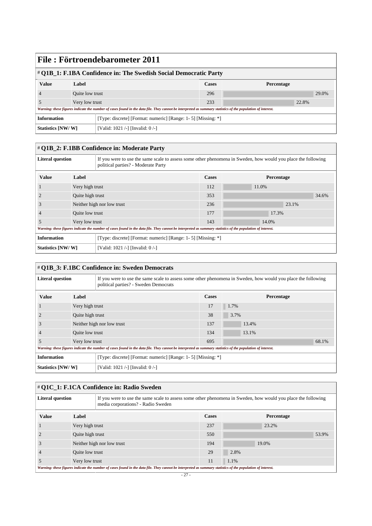| File: Förtroendebarometer 2011                                                                                                                              |                                                               |  |     |  |       |
|-------------------------------------------------------------------------------------------------------------------------------------------------------------|---------------------------------------------------------------|--|-----|--|-------|
| # Q1B_1: F.1BA Confidence in: The Swedish Social Democratic Party                                                                                           |                                                               |  |     |  |       |
| <b>Value</b>                                                                                                                                                | Label<br><b>Cases</b><br>Percentage                           |  |     |  |       |
|                                                                                                                                                             | Quite low trust                                               |  | 296 |  | 29.0% |
|                                                                                                                                                             | Very low trust                                                |  | 233 |  | 22.8% |
| Warning: these figures indicate the number of cases found in the data file. They cannot be interpreted as summary statistics of the population of interest. |                                                               |  |     |  |       |
| <b>Information</b>                                                                                                                                          | [Type: discrete] [Format: numeric] [Range: 1- 5] [Missing: *] |  |     |  |       |
|                                                                                                                                                             | Statistics [NW/W]<br>[Valid: 1021 /-] [Invalid: 0 /-]         |  |     |  |       |

| # Q1B_2: F.1BB Confidence in: Moderate Party                                                                                                                |                  |                                                                                                                                                      |              |            |  |  |
|-------------------------------------------------------------------------------------------------------------------------------------------------------------|------------------|------------------------------------------------------------------------------------------------------------------------------------------------------|--------------|------------|--|--|
| <b>Literal question</b>                                                                                                                                     |                  | If you were to use the same scale to assess some other phenomena in Sweden, how would you place the following<br>political parties? - Moderate Party |              |            |  |  |
| <b>Value</b>                                                                                                                                                | Label            |                                                                                                                                                      | <b>Cases</b> | Percentage |  |  |
|                                                                                                                                                             | Very high trust  |                                                                                                                                                      | 112          | 11.0%      |  |  |
|                                                                                                                                                             | Quite high trust |                                                                                                                                                      | 353          | 34.6%      |  |  |
| 3                                                                                                                                                           |                  | Neither high nor low trust                                                                                                                           | 236          | 23.1%      |  |  |
| $\overline{4}$                                                                                                                                              | Quite low trust  |                                                                                                                                                      | 177          | 17.3%      |  |  |
| .5                                                                                                                                                          | Very low trust   |                                                                                                                                                      | 143          | 14.0%      |  |  |
| Warning: these figures indicate the number of cases found in the data file. They cannot be interpreted as summary statistics of the population of interest. |                  |                                                                                                                                                      |              |            |  |  |
| <b>Information</b><br>[Type: discrete] [Format: numeric] [Range: 1- 5] [Missing: *]                                                                         |                  |                                                                                                                                                      |              |            |  |  |
| Statistics [NW/W]<br>[Valid: 1021 /-] [Invalid: 0 /-]                                                                                                       |                  |                                                                                                                                                      |              |            |  |  |

| # Q1B_3: F.1BC Confidence in: Sweden Democrats |
|------------------------------------------------|
|------------------------------------------------|

| <b>Literal question</b>                                                                                                                                     |                            | If you were to use the same scale to assess some other phenomena in Sweden, how would you place the following<br>political parties? - Sweden Democrats |              |            |       |  |
|-------------------------------------------------------------------------------------------------------------------------------------------------------------|----------------------------|--------------------------------------------------------------------------------------------------------------------------------------------------------|--------------|------------|-------|--|
| <b>Value</b>                                                                                                                                                | Label                      |                                                                                                                                                        | <b>Cases</b> | Percentage |       |  |
|                                                                                                                                                             | Very high trust            |                                                                                                                                                        | 17           | 1.7%       |       |  |
|                                                                                                                                                             | Quite high trust           |                                                                                                                                                        | 38           | 3.7%       |       |  |
| 3                                                                                                                                                           | Neither high nor low trust |                                                                                                                                                        | 137          | 13.4%      |       |  |
| $\overline{4}$                                                                                                                                              | Quite low trust            |                                                                                                                                                        | 134          | 13.1%      |       |  |
| 5                                                                                                                                                           | Very low trust             |                                                                                                                                                        | 695          |            | 68.1% |  |
| Warning: these figures indicate the number of cases found in the data file. They cannot be interpreted as summary statistics of the population of interest. |                            |                                                                                                                                                        |              |            |       |  |
| <b>Information</b><br>[Type: discrete] [Format: numeric] [Range: 1- 5] [Missing: *]                                                                         |                            |                                                                                                                                                        |              |            |       |  |
| Statistics [NW/W]<br>[Valid: 1021 /-] [Invalid: 0 /-]                                                                                                       |                            |                                                                                                                                                        |              |            |       |  |

# # **Q1C\_1: F.1CA Confidence in: Radio Sweden**

| <b>Literal question</b><br>If you were to use the same scale to assess some other phenomena in Sweden, how would you place the following<br>media corporations? - Radio Sweden |                            |                                                                                                                                                             |              |            |       |       |
|--------------------------------------------------------------------------------------------------------------------------------------------------------------------------------|----------------------------|-------------------------------------------------------------------------------------------------------------------------------------------------------------|--------------|------------|-------|-------|
| <b>Value</b><br>Label                                                                                                                                                          |                            |                                                                                                                                                             | <b>Cases</b> | Percentage |       |       |
|                                                                                                                                                                                | Very high trust            |                                                                                                                                                             | 237          |            | 23.2% |       |
|                                                                                                                                                                                | Quite high trust           |                                                                                                                                                             | 550          |            |       | 53.9% |
|                                                                                                                                                                                | Neither high nor low trust |                                                                                                                                                             | 194          |            | 19.0% |       |
|                                                                                                                                                                                | Quite low trust            |                                                                                                                                                             | 29           | 2.8%       |       |       |
|                                                                                                                                                                                | Very low trust             |                                                                                                                                                             | 11           | 1.1%       |       |       |
|                                                                                                                                                                                |                            | Warning: these figures indicate the number of cases found in the data file. They cannot be interpreted as summary statistics of the population of interest. |              |            |       |       |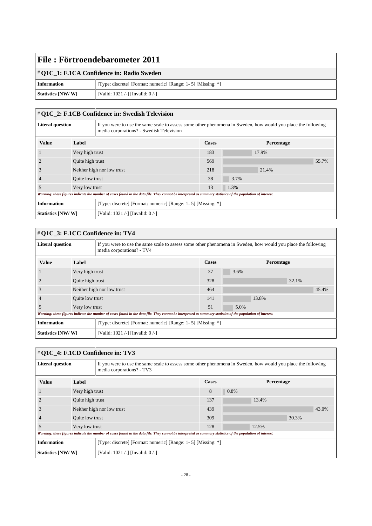# # **Q1C\_1: F.1CA Confidence in: Radio Sweden**

| Information       | [Type: discrete] [Format: numeric] [Range: 1- 5] [Missing: *] |
|-------------------|---------------------------------------------------------------|
| Statistics [NW/W] | [Valid: 1021 /-] [Invalid: $0$ /-]                            |

## # **Q1C\_2: F.1CB Confidence in: Swedish Television**

| If you were to use the same scale to assess some other phenomena in Sweden, how would you place the following<br><b>Literal question</b><br>media corporations? - Swedish Television |                            |  |              |            |       |
|--------------------------------------------------------------------------------------------------------------------------------------------------------------------------------------|----------------------------|--|--------------|------------|-------|
| <b>Value</b>                                                                                                                                                                         | Label                      |  | <b>Cases</b> | Percentage |       |
|                                                                                                                                                                                      | Very high trust            |  | 183          | 17.9%      |       |
|                                                                                                                                                                                      | Quite high trust           |  | 569          |            | 55.7% |
|                                                                                                                                                                                      | Neither high nor low trust |  | 218          | 21.4%      |       |
|                                                                                                                                                                                      | Quite low trust            |  | 38           | 3.7%       |       |
|                                                                                                                                                                                      | Very low trust             |  | 13           | 1.3%       |       |
| Warning: these figures indicate the number of cases found in the data file. They cannot be interpreted as summary statistics of the population of interest.                          |                            |  |              |            |       |
| <b>Information</b><br>[Type: discrete] [Format: numeric] [Range: 1- 5] [Missing: *]                                                                                                  |                            |  |              |            |       |
| <b>Statistics [NW/W]</b><br>[Valid: 1021 /-] [Invalid: 0 /-]                                                                                                                         |                            |  |              |            |       |

| # Q1C_3: F.1CC Confidence in: TV4                                                                                                                                     |                                                       |                            |       |      |            |
|-----------------------------------------------------------------------------------------------------------------------------------------------------------------------|-------------------------------------------------------|----------------------------|-------|------|------------|
| <b>Literal question</b><br>If you were to use the same scale to assess some other phenomena in Sweden, how would you place the following<br>media corporations? - TV4 |                                                       |                            |       |      |            |
| <b>Value</b>                                                                                                                                                          | Label                                                 |                            | Cases |      | Percentage |
|                                                                                                                                                                       | Very high trust                                       |                            | 37    | 3.6% |            |
|                                                                                                                                                                       | Quite high trust                                      |                            | 328   |      | 32.1%      |
| 3                                                                                                                                                                     |                                                       | Neither high nor low trust | 464   |      | 45.4%      |
|                                                                                                                                                                       | Quite low trust                                       |                            | 141   |      | 13.8%      |
| 5                                                                                                                                                                     | Very low trust                                        |                            | 51    | 5.0% |            |
| Warning: these figures indicate the number of cases found in the data file. They cannot be interpreted as summary statistics of the population of interest.           |                                                       |                            |       |      |            |
| [Type: discrete] [Format: numeric] [Range: 1- 5] [Missing: *]<br><b>Information</b>                                                                                   |                                                       |                            |       |      |            |
|                                                                                                                                                                       | Statistics [NW/W]<br>[Valid: 1021 /-] [Invalid: 0 /-] |                            |       |      |            |

# # **Q1C\_4: F.1CD Confidence in: TV3**

| <b>Literal question</b> |                  | If you were to use the same scale to assess some other phenomena in Sweden, how would you place the following<br>media corporations? - TV3                  |              |            |  |  |
|-------------------------|------------------|-------------------------------------------------------------------------------------------------------------------------------------------------------------|--------------|------------|--|--|
| <b>Value</b>            | Label            |                                                                                                                                                             | <b>Cases</b> | Percentage |  |  |
|                         | Very high trust  |                                                                                                                                                             | 8            | 0.8%       |  |  |
|                         | Quite high trust |                                                                                                                                                             | 137          | 13.4%      |  |  |
| 3                       |                  | Neither high nor low trust                                                                                                                                  | 439          | 43.0%      |  |  |
| 4                       | Quite low trust  |                                                                                                                                                             | 309          | 30.3%      |  |  |
| 5                       | Very low trust   |                                                                                                                                                             | 128          | 12.5%      |  |  |
|                         |                  | Warning: these figures indicate the number of cases found in the data file. They cannot be interpreted as summary statistics of the population of interest. |              |            |  |  |
| <b>Information</b>      |                  | [Type: discrete] [Format: numeric] [Range: 1- 5] [Missing: *]                                                                                               |              |            |  |  |
| Statistics [NW/W]       |                  | [Valid: 1021 /-] [Invalid: $0$ /-]                                                                                                                          |              |            |  |  |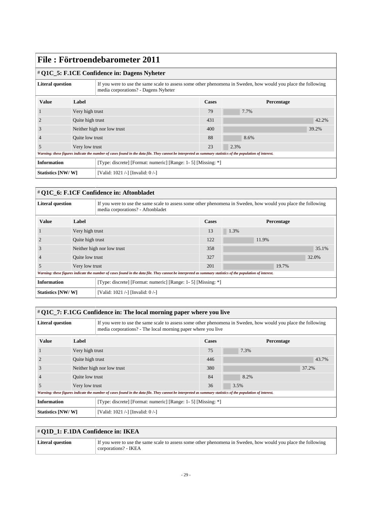#### # **Q1C\_5: F.1CE Confidence in: Dagens Nyheter**

| <b>Literal question</b> |                                    | If you were to use the same scale to assess some other phenomena in Sweden, how would you place the following<br>media corporations? - Dagens Nyheter       |              |            |       |  |
|-------------------------|------------------------------------|-------------------------------------------------------------------------------------------------------------------------------------------------------------|--------------|------------|-------|--|
| <b>Value</b>            | Label                              |                                                                                                                                                             | <b>Cases</b> | Percentage |       |  |
|                         | Very high trust                    |                                                                                                                                                             | 79           | 7.7%       |       |  |
|                         | Quite high trust                   |                                                                                                                                                             | 431          |            | 42.2% |  |
| 3                       | Neither high nor low trust         |                                                                                                                                                             | 400          |            | 39.2% |  |
| $\overline{4}$          | Quite low trust                    |                                                                                                                                                             | 88           | 8.6%       |       |  |
| .5                      | Very low trust                     |                                                                                                                                                             | 23           | 2.3%       |       |  |
|                         |                                    | Warning: these figures indicate the number of cases found in the data file. They cannot be interpreted as summary statistics of the population of interest. |              |            |       |  |
| <b>Information</b>      |                                    | [Type: discrete] [Format: numeric] [Range: 1- 5] [Missing: *]                                                                                               |              |            |       |  |
| Statistics [NW/W]       | [Valid: 1021 /-] [Invalid: $0$ /-] |                                                                                                                                                             |              |            |       |  |

# # **Q1C\_6: F.1CF Confidence in: Aftonbladet**

| <b>Literal question</b> |                            | If you were to use the same scale to assess some other phenomena in Sweden, how would you place the following<br>media corporations? - Aftonbladet          |              |            |       |  |
|-------------------------|----------------------------|-------------------------------------------------------------------------------------------------------------------------------------------------------------|--------------|------------|-------|--|
| <b>Value</b>            | Label                      |                                                                                                                                                             | <b>Cases</b> | Percentage |       |  |
|                         | Very high trust            |                                                                                                                                                             | 13           | $1.3\%$    |       |  |
|                         | Quite high trust           |                                                                                                                                                             | 122          | 11.9%      |       |  |
| 3                       | Neither high nor low trust |                                                                                                                                                             | 358          |            | 35.1% |  |
|                         | Quite low trust            |                                                                                                                                                             | 327          | 32.0%      |       |  |
| .5                      | Very low trust             |                                                                                                                                                             | 201          | 19.7%      |       |  |
|                         |                            | Warning: these figures indicate the number of cases found in the data file. They cannot be interpreted as summary statistics of the population of interest. |              |            |       |  |
| <b>Information</b>      |                            | [Type: discrete] [Format: numeric] [Range: 1- 5] [Missing: *]                                                                                               |              |            |       |  |
| Statistics [NW/W]       |                            | [Valid: 1021 /-] [Invalid: 0 /-]                                                                                                                            |              |            |       |  |

| $\#$ Q1C_7: F.1CG Confidence in: The local morning paper where you live |                                                               |                                                                                                                                                                               |              |            |       |  |  |
|-------------------------------------------------------------------------|---------------------------------------------------------------|-------------------------------------------------------------------------------------------------------------------------------------------------------------------------------|--------------|------------|-------|--|--|
| <b>Literal question</b>                                                 |                                                               | If you were to use the same scale to assess some other phenomena in Sweden, how would you place the following<br>media corporations? - The local morning paper where you live |              |            |       |  |  |
| <b>Value</b>                                                            | Label                                                         |                                                                                                                                                                               | <b>Cases</b> | Percentage |       |  |  |
|                                                                         | Very high trust                                               |                                                                                                                                                                               | 75           | 7.3%       |       |  |  |
|                                                                         | Quite high trust                                              |                                                                                                                                                                               | 446          |            | 43.7% |  |  |
| J.                                                                      |                                                               | Neither high nor low trust                                                                                                                                                    | 380          |            | 37.2% |  |  |
|                                                                         | Quite low trust                                               |                                                                                                                                                                               | 84           | 8.2%       |       |  |  |
| 5                                                                       | Very low trust                                                |                                                                                                                                                                               | 36           | 3.5%       |       |  |  |
|                                                                         |                                                               | Warning: these figures indicate the number of cases found in the data file. They cannot be interpreted as summary statistics of the population of interest.                   |              |            |       |  |  |
| <b>Information</b>                                                      | [Type: discrete] [Format: numeric] [Range: 1- 5] [Missing: *] |                                                                                                                                                                               |              |            |       |  |  |
| Statistics [NW/W]                                                       |                                                               | [Valid: 1021 /-] [Invalid: 0 /-]                                                                                                                                              |              |            |       |  |  |

# # **Q1D\_1: F.1DA Confidence in: IKEA**

| Literal question | If you were to use the same scale to assess some other phenomena in Sweden, how would you place the following |
|------------------|---------------------------------------------------------------------------------------------------------------|
|                  | corporations? - IKEA                                                                                          |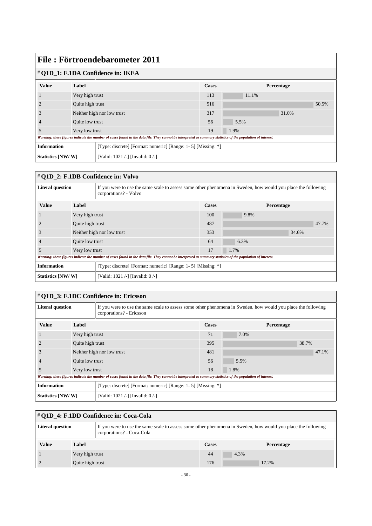| File: Förtroendebarometer 2011                                                      |                  |                                                                                                                                                             |     |            |       |       |  |  |
|-------------------------------------------------------------------------------------|------------------|-------------------------------------------------------------------------------------------------------------------------------------------------------------|-----|------------|-------|-------|--|--|
| # Q1D_1: F.1DA Confidence in: IKEA                                                  |                  |                                                                                                                                                             |     |            |       |       |  |  |
| <b>Value</b>                                                                        | Label            |                                                                                                                                                             |     | Percentage |       |       |  |  |
|                                                                                     | Very high trust  |                                                                                                                                                             | 113 | 11.1%      |       |       |  |  |
|                                                                                     | Quite high trust |                                                                                                                                                             | 516 |            |       | 50.5% |  |  |
| 3                                                                                   |                  | Neither high nor low trust                                                                                                                                  | 317 |            | 31.0% |       |  |  |
|                                                                                     | Quite low trust  |                                                                                                                                                             | 56  | 5.5%       |       |       |  |  |
| 5                                                                                   | Very low trust   |                                                                                                                                                             | 19  | 1.9%       |       |       |  |  |
|                                                                                     |                  | Warning: these figures indicate the number of cases found in the data file. They cannot be interpreted as summary statistics of the population of interest. |     |            |       |       |  |  |
| <b>Information</b><br>[Type: discrete] [Format: numeric] [Range: 1- 5] [Missing: *] |                  |                                                                                                                                                             |     |            |       |       |  |  |
| Statistics [NW/W]                                                                   |                  | [Valid: 1021 /-] [Invalid: 0 /-]                                                                                                                            |     |            |       |       |  |  |

# # **Q1D\_2: F.1DB Confidence in: Volvo**

| <b>Literal question</b> |                            | If you were to use the same scale to assess some other phenomena in Sweden, how would you place the following<br>corporations? - Volvo                      |              |            |       |  |
|-------------------------|----------------------------|-------------------------------------------------------------------------------------------------------------------------------------------------------------|--------------|------------|-------|--|
| <b>Value</b>            | Label                      |                                                                                                                                                             | <b>Cases</b> | Percentage |       |  |
|                         | Very high trust            |                                                                                                                                                             | 100          | 9.8%       |       |  |
|                         | Quite high trust           |                                                                                                                                                             | 487          |            | 47.7% |  |
| 3                       | Neither high nor low trust |                                                                                                                                                             | 353          |            | 34.6% |  |
| $\overline{4}$          | Quite low trust            |                                                                                                                                                             | 64           | 6.3%       |       |  |
| 5                       | Very low trust             |                                                                                                                                                             | 17           | 1.7%       |       |  |
|                         |                            | Warning: these figures indicate the number of cases found in the data file. They cannot be interpreted as summary statistics of the population of interest. |              |            |       |  |
| <b>Information</b>      |                            | [Type: discrete] [Format: numeric] [Range: 1- 5] [Missing: *]                                                                                               |              |            |       |  |
| Statistics [NW/W]       |                            | [Valid: 1021 /-] [Invalid: 0 /-]                                                                                                                            |              |            |       |  |

# # **Q1D\_3: F.1DC Confidence in: Ericsson**

| <b>Literal question</b> |                  | If you were to use the same scale to assess some other phenomena in Sweden, how would you place the following<br>corporations? - Ericsson                   |              |            |       |  |
|-------------------------|------------------|-------------------------------------------------------------------------------------------------------------------------------------------------------------|--------------|------------|-------|--|
| <b>Value</b>            | Label            |                                                                                                                                                             | <b>Cases</b> | Percentage |       |  |
|                         | Very high trust  |                                                                                                                                                             | 71           | 7.0%       |       |  |
|                         | Quite high trust |                                                                                                                                                             | 395          |            | 38.7% |  |
| 3                       |                  | Neither high nor low trust                                                                                                                                  | 481          |            | 47.1% |  |
| $\overline{4}$          | Quite low trust  |                                                                                                                                                             | 56           | 5.5%       |       |  |
| 5                       | Very low trust   |                                                                                                                                                             | 18           | 1.8%       |       |  |
|                         |                  | Warning: these figures indicate the number of cases found in the data file. They cannot be interpreted as summary statistics of the population of interest. |              |            |       |  |
| <b>Information</b>      |                  | [Type: discrete] [Format: numeric] [Range: 1- 5] [Missing: *]                                                                                               |              |            |       |  |
| Statistics [NW/W]       |                  | [Valid: 1021 /-] [Invalid: 0 /-]                                                                                                                            |              |            |       |  |

| # Q1D_4: F.1DD Confidence in: Coca-Cola                                                                                                                               |                  |  |              |            |  |  |  |
|-----------------------------------------------------------------------------------------------------------------------------------------------------------------------|------------------|--|--------------|------------|--|--|--|
| If you were to use the same scale to assess some other phenomena in Sweden, how would you place the following<br><b>Literal question</b><br>corporations? - Coca-Cola |                  |  |              |            |  |  |  |
| <b>Value</b>                                                                                                                                                          | Label            |  | <b>Cases</b> | Percentage |  |  |  |
|                                                                                                                                                                       | Very high trust  |  | 44           | 4.3%       |  |  |  |
|                                                                                                                                                                       | Quite high trust |  | 176          | 17.2%      |  |  |  |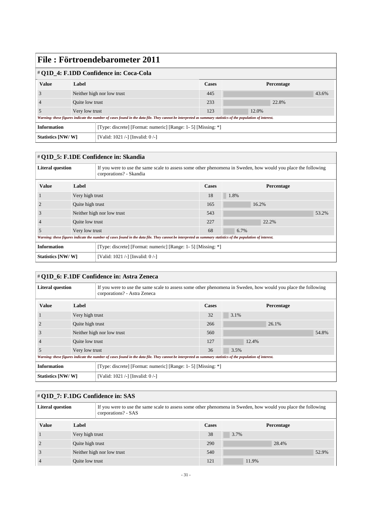| # Q1D_4: F.1DD Confidence in: Coca-Cola |                            |                                                                                                                                                             |                                                               |            |       |       |  |
|-----------------------------------------|----------------------------|-------------------------------------------------------------------------------------------------------------------------------------------------------------|---------------------------------------------------------------|------------|-------|-------|--|
| <b>Value</b>                            | Label                      |                                                                                                                                                             | <b>Cases</b>                                                  | Percentage |       |       |  |
|                                         | Neither high nor low trust |                                                                                                                                                             | 445                                                           |            |       | 43.6% |  |
|                                         | Quite low trust            |                                                                                                                                                             | 233                                                           |            | 22.8% |       |  |
|                                         | Very low trust             |                                                                                                                                                             | 123                                                           | 12.0%      |       |       |  |
|                                         |                            | Warning: these figures indicate the number of cases found in the data file. They cannot be interpreted as summary statistics of the population of interest. |                                                               |            |       |       |  |
| <b>Information</b>                      |                            |                                                                                                                                                             | [Type: discrete] [Format: numeric] [Range: 1- 5] [Missing: *] |            |       |       |  |
| Statistics [NW/W]                       |                            | [Valid: 1021 /-] [Invalid: 0 /-]                                                                                                                            |                                                               |            |       |       |  |

## # **Q1D\_5: F.1DE Confidence in: Skandia**

| <b>Literal question</b> |                            | If you were to use the same scale to assess some other phenomena in Sweden, how would you place the following<br>corporations? - Skandia                    |              |                   |  |  |
|-------------------------|----------------------------|-------------------------------------------------------------------------------------------------------------------------------------------------------------|--------------|-------------------|--|--|
| <b>Value</b>            | Label                      |                                                                                                                                                             | <b>Cases</b> | <b>Percentage</b> |  |  |
|                         | Very high trust            |                                                                                                                                                             | 18           | $1.8\%$           |  |  |
|                         | Quite high trust           |                                                                                                                                                             | 165          | 16.2%             |  |  |
| 3                       | Neither high nor low trust |                                                                                                                                                             | 543          | 53.2%             |  |  |
| $\overline{4}$          | Quite low trust            |                                                                                                                                                             | 227          | 22.2%             |  |  |
| .5                      | Very low trust             |                                                                                                                                                             | 68           | 6.7%              |  |  |
|                         |                            | Warning: these figures indicate the number of cases found in the data file. They cannot be interpreted as summary statistics of the population of interest. |              |                   |  |  |
| <b>Information</b>      |                            | [Type: discrete] [Format: numeric] [Range: 1- 5] [Missing: *]                                                                                               |              |                   |  |  |
| Statistics [NW/W]       |                            | [Valid: 1021 /-] [Invalid: 0 /-]                                                                                                                            |              |                   |  |  |

## # **Q1D\_6: F.1DF Confidence in: Astra Zeneca**

| <b>Literal question</b> |                            | If you were to use the same scale to assess some other phenomena in Sweden, how would you place the following<br>corporations? - Astra Zeneca               |              |            |       |  |  |
|-------------------------|----------------------------|-------------------------------------------------------------------------------------------------------------------------------------------------------------|--------------|------------|-------|--|--|
| <b>Value</b>            | Label                      |                                                                                                                                                             | <b>Cases</b> | Percentage |       |  |  |
|                         | Very high trust            |                                                                                                                                                             | 32           | 3.1%       |       |  |  |
|                         | Quite high trust           |                                                                                                                                                             | 266          | 26.1%      |       |  |  |
| 3                       | Neither high nor low trust |                                                                                                                                                             | 560          |            | 54.8% |  |  |
|                         | <b>Ouite low trust</b>     |                                                                                                                                                             | 127          | 12.4%      |       |  |  |
| 5                       | Very low trust             |                                                                                                                                                             | 36           | 3.5%       |       |  |  |
|                         |                            | Warning: these figures indicate the number of cases found in the data file. They cannot be interpreted as summary statistics of the population of interest. |              |            |       |  |  |
| <b>Information</b>      |                            | [Type: discrete] [Format: numeric] [Range: 1- 5] [Missing: *]                                                                                               |              |            |       |  |  |
| Statistics [NW/W]       |                            | [Valid: 1021 /-] [Invalid: 0 /-]                                                                                                                            |              |            |       |  |  |

# # **Q1D\_7: F.1DG Confidence in: SAS**

| <b>Literal question</b> |                  | If you were to use the same scale to assess some other phenomena in Sweden, how would you place the following<br>corporations? - SAS |              |      |            |       |
|-------------------------|------------------|--------------------------------------------------------------------------------------------------------------------------------------|--------------|------|------------|-------|
| <b>Value</b>            | Label            |                                                                                                                                      | <b>Cases</b> |      | Percentage |       |
|                         | Very high trust  |                                                                                                                                      | 38           | 3.7% |            |       |
|                         | Quite high trust |                                                                                                                                      | 290          |      | 28.4%      |       |
|                         |                  | Neither high nor low trust                                                                                                           | 540          |      |            | 52.9% |
|                         | Quite low trust  |                                                                                                                                      | 121          |      | 11.9%      |       |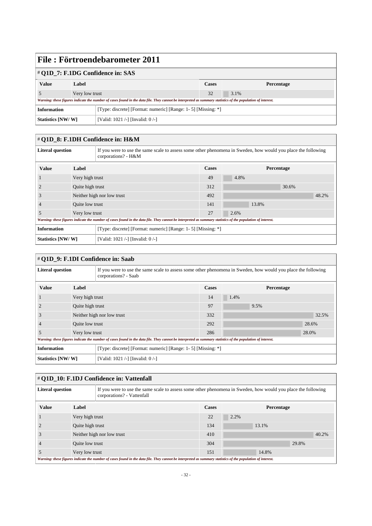| Value                                                                              | Label          |                                                                                                                                                             | <b>Cases</b> | <b>Percentage</b> |  |
|------------------------------------------------------------------------------------|----------------|-------------------------------------------------------------------------------------------------------------------------------------------------------------|--------------|-------------------|--|
|                                                                                    | Very low trust |                                                                                                                                                             | 32           | 3.1%              |  |
|                                                                                    |                | Warning: these figures indicate the number of cases found in the data file. They cannot be interpreted as summary statistics of the population of interest. |              |                   |  |
| [Type: discrete] [Format: numeric] [Range: 1-5] [Missing: *]<br><b>Information</b> |                |                                                                                                                                                             |              |                   |  |
| Statistics [NW/W]                                                                  |                | [Valid: 1021 /-] [Invalid: $0$ /-]                                                                                                                          |              |                   |  |

#### # **Q1D\_8: F.1DH Confidence in: H&M**

| <b>Literal question</b>  |                            | If you were to use the same scale to assess some other phenomena in Sweden, how would you place the following<br>corporations? - H&M                        |                                                               |       |            |  |  |
|--------------------------|----------------------------|-------------------------------------------------------------------------------------------------------------------------------------------------------------|---------------------------------------------------------------|-------|------------|--|--|
| <b>Value</b>             | Label                      |                                                                                                                                                             | <b>Cases</b>                                                  |       | Percentage |  |  |
|                          | Very high trust            |                                                                                                                                                             | 49                                                            | 4.8%  |            |  |  |
|                          | Quite high trust           |                                                                                                                                                             | 312                                                           |       | 30.6%      |  |  |
| J.                       | Neither high nor low trust |                                                                                                                                                             | 492                                                           |       | 48.2%      |  |  |
| 4                        | Quite low trust            |                                                                                                                                                             | 141                                                           | 13.8% |            |  |  |
| 5                        | Very low trust             |                                                                                                                                                             | 27                                                            | 2.6%  |            |  |  |
|                          |                            | Warning: these figures indicate the number of cases found in the data file. They cannot be interpreted as summary statistics of the population of interest. |                                                               |       |            |  |  |
| <b>Information</b>       |                            |                                                                                                                                                             | [Type: discrete] [Format: numeric] [Range: 1- 5] [Missing: *] |       |            |  |  |
| <b>Statistics [NW/W]</b> |                            | [Valid: 1021 /-] [Invalid: $0$ /-]                                                                                                                          |                                                               |       |            |  |  |

| # Q1D_9: F.1DI Confidence in: Saab |                  |                                                                                                                                                             |              |            |       |  |  |
|------------------------------------|------------------|-------------------------------------------------------------------------------------------------------------------------------------------------------------|--------------|------------|-------|--|--|
| <b>Literal question</b>            |                  | If you were to use the same scale to assess some other phenomena in Sweden, how would you place the following<br>corporations? - Saab                       |              |            |       |  |  |
| <b>Value</b>                       | Label            |                                                                                                                                                             | <b>Cases</b> | Percentage |       |  |  |
|                                    | Very high trust  |                                                                                                                                                             | 14           | 1.4%       |       |  |  |
|                                    | Quite high trust |                                                                                                                                                             | 97           | 9.5%       |       |  |  |
| 3                                  |                  | Neither high nor low trust                                                                                                                                  | 332          |            | 32.5% |  |  |
|                                    | Quite low trust  |                                                                                                                                                             | 292          |            | 28.6% |  |  |
| 5                                  | Very low trust   |                                                                                                                                                             | 286          |            | 28.0% |  |  |
|                                    |                  | Warning: these figures indicate the number of cases found in the data file. They cannot be interpreted as summary statistics of the population of interest. |              |            |       |  |  |
| <b>Information</b>                 |                  | [Type: discrete] [Format: numeric] [Range: 1- 5] [Missing: *]                                                                                               |              |            |       |  |  |
| Statistics [NW/W]                  |                  | [Valid: 1021 /-] [Invalid: 0 /-]                                                                                                                            |              |            |       |  |  |

#### # **Q1D\_10: F.1DJ Confidence in: Vattenfall Literal question** If you were to use the same scale to assess some other phenomena in Sweden, how would you place the following corporations? - Vattenfall **Value Label Cases Percentage** 1 Very high trust 22 2.2% 2 Quite high trust 134 134 13.1% 3 Neither high nor low trust 410 40.2% 4 Quite low trust 29.8% 5 Very low trust 151 14.8% *Warning: these figures indicate the number of cases found in the data file. They cannot be interpreted as summary statistics of the population of interest.*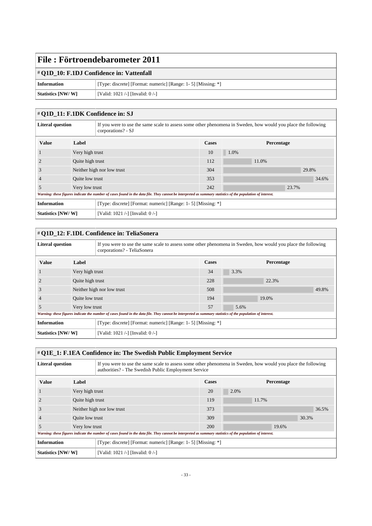#### # **Q1D\_10: F.1DJ Confidence in: Vattenfall**

| Information       | [Type: discrete] [Format: numeric] [Range: 1- 5] [Missing: *] |
|-------------------|---------------------------------------------------------------|
| Statistics [NW/W] | [Valid: 1021 /-] [Invalid: $0$ /-]                            |

#### # **Q1D\_11: F.1DK Confidence in: SJ**

| <b>Literal question</b> |                 | If you were to use the same scale to assess some other phenomena in Sweden, how would you place the following<br>corporations? - SJ                         |     |            |       |  |  |
|-------------------------|-----------------|-------------------------------------------------------------------------------------------------------------------------------------------------------------|-----|------------|-------|--|--|
| <b>Value</b>            | Label           |                                                                                                                                                             |     | Percentage |       |  |  |
|                         | Very high trust |                                                                                                                                                             | 10  | 1.0%       |       |  |  |
|                         |                 | Quite high trust                                                                                                                                            |     | 11.0%      |       |  |  |
| 3                       |                 | Neither high nor low trust                                                                                                                                  |     |            | 29.8% |  |  |
|                         | Quite low trust |                                                                                                                                                             | 353 |            | 34.6% |  |  |
|                         | Very low trust  |                                                                                                                                                             | 242 | 23.7%      |       |  |  |
|                         |                 | Warning: these figures indicate the number of cases found in the data file. They cannot be interpreted as summary statistics of the population of interest. |     |            |       |  |  |
| <b>Information</b>      |                 | [Type: discrete] [Format: numeric] [Range: 1- 5] [Missing: *]                                                                                               |     |            |       |  |  |
| Statistics [NW/W]       |                 | [Valid: 1021 /-] [Invalid: 0 /-]                                                                                                                            |     |            |       |  |  |

| # Q1D_12: F.1DL Confidence in: TeliaSonera |                  |                                                                                                                                                             |                                                               |            |       |       |  |
|--------------------------------------------|------------------|-------------------------------------------------------------------------------------------------------------------------------------------------------------|---------------------------------------------------------------|------------|-------|-------|--|
| <b>Literal question</b>                    |                  | If you were to use the same scale to assess some other phenomena in Sweden, how would you place the following<br>corporations? - TeliaSonera                |                                                               |            |       |       |  |
| <b>Value</b>                               | Label            |                                                                                                                                                             | <b>Cases</b>                                                  | Percentage |       |       |  |
|                                            | Very high trust  |                                                                                                                                                             | 34                                                            | 3.3%       |       |       |  |
|                                            | Quite high trust |                                                                                                                                                             | 228                                                           |            | 22.3% |       |  |
| 3                                          |                  | Neither high nor low trust                                                                                                                                  | 508                                                           |            |       | 49.8% |  |
|                                            | Quite low trust  |                                                                                                                                                             | 194                                                           |            | 19.0% |       |  |
| 5                                          | Very low trust   |                                                                                                                                                             | 57                                                            | 5.6%       |       |       |  |
|                                            |                  | Warning: these figures indicate the number of cases found in the data file. They cannot be interpreted as summary statistics of the population of interest. |                                                               |            |       |       |  |
| <b>Information</b>                         |                  |                                                                                                                                                             | [Type: discrete] [Format: numeric] [Range: 1- 5] [Missing: *] |            |       |       |  |
| Statistics [NW/W]                          |                  | [Valid: 1021 /-] [Invalid: $0$ /-]                                                                                                                          |                                                               |            |       |       |  |

### # **Q1E\_1: F.1EA Confidence in: The Swedish Public Employment Service** Literal question **If you were to use the same scale to assess some other phenomena in Sweden, how would you place the following** authorities? - The Swedish Public Employment Service **Value Label Cases Percentage** 1 Very high trust 20 2.0% 2 Quite high trust 119 11.7% 3 Neither high nor low trust 373 36.5% 4 Quite low trust 309 30.3% 5 Very low trust 200 19.6% *Warning: these figures indicate the number of cases found in the data file. They cannot be interpreted as summary statistics of the population of interest.* **Information** [Type: discrete] [Format: numeric] [Range: 1-5] [Missing: \*] **Statistics [NW/ W]** [Valid: 1021 /-] [Invalid: 0 /-]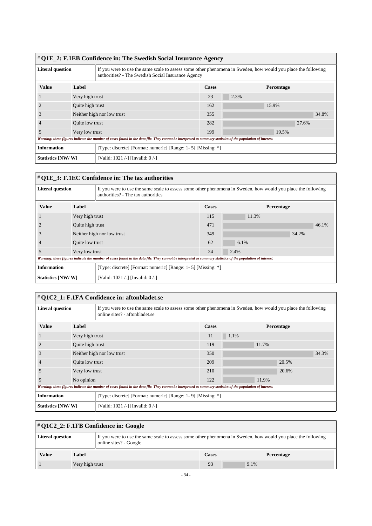| # Q1E_2: F.1EB Confidence in: The Swedish Social Insurance Agency |                  |                                                                                                                                                                     |              |            |       |       |  |
|-------------------------------------------------------------------|------------------|---------------------------------------------------------------------------------------------------------------------------------------------------------------------|--------------|------------|-------|-------|--|
| <b>Literal question</b>                                           |                  | If you were to use the same scale to assess some other phenomena in Sweden, how would you place the following<br>authorities? - The Swedish Social Insurance Agency |              |            |       |       |  |
| <b>Value</b>                                                      | Label            |                                                                                                                                                                     | <b>Cases</b> | Percentage |       |       |  |
|                                                                   | Very high trust  |                                                                                                                                                                     | 23           | 2.3%       |       |       |  |
|                                                                   | Quite high trust |                                                                                                                                                                     | 162          |            | 15.9% |       |  |
| 3                                                                 |                  | Neither high nor low trust                                                                                                                                          | 355          |            |       | 34.8% |  |
|                                                                   | Quite low trust  |                                                                                                                                                                     | 282          |            | 27.6% |       |  |
| 5                                                                 | Very low trust   |                                                                                                                                                                     | 199          |            | 19.5% |       |  |
|                                                                   |                  | Warning: these figures indicate the number of cases found in the data file. They cannot be interpreted as summary statistics of the population of interest.         |              |            |       |       |  |
| <b>Information</b>                                                |                  | [Type: discrete] [Format: numeric] [Range: 1- 5] [Missing: *]                                                                                                       |              |            |       |       |  |
| Statistics [NW/W]                                                 |                  | Valid: 1021 /-] [Invalid: 0 /-]                                                                                                                                     |              |            |       |       |  |

## # **Q1E\_3: F.1EC Confidence in: The tax authorities**

| <b>Literal question</b> |                            | If you were to use the same scale to assess some other phenomena in Sweden, how would you place the following<br>authorities? - The tax authorities         |              |            |       |  |
|-------------------------|----------------------------|-------------------------------------------------------------------------------------------------------------------------------------------------------------|--------------|------------|-------|--|
| <b>Value</b>            | Label                      |                                                                                                                                                             | <b>Cases</b> | Percentage |       |  |
|                         | Very high trust            |                                                                                                                                                             | 115          | 11.3%      |       |  |
|                         | Quite high trust           |                                                                                                                                                             | 471          |            | 46.1% |  |
| 3                       | Neither high nor low trust |                                                                                                                                                             | 349          |            | 34.2% |  |
|                         | Quite low trust            |                                                                                                                                                             | 62           | 6.1%       |       |  |
| 5                       | Very low trust             |                                                                                                                                                             | 24           | 2.4%       |       |  |
|                         |                            | Warning: these figures indicate the number of cases found in the data file. They cannot be interpreted as summary statistics of the population of interest. |              |            |       |  |
| <b>Information</b>      |                            | [Type: discrete] [Format: numeric] [Range: 1- 5] [Missing: *]                                                                                               |              |            |       |  |
| Statistics [NW/W]       |                            | [Valid: 1021 /-] [Invalid: 0/-]                                                                                                                             |              |            |       |  |

## # **Q1C2\_1: F.1FA Confidence in: aftonbladet.se**

| <b>Literal question</b> |                            | If you were to use the same scale to assess some other phenomena in Sweden, how would you place the following<br>online sites? - aftonbladet.se             |       |            |       |  |
|-------------------------|----------------------------|-------------------------------------------------------------------------------------------------------------------------------------------------------------|-------|------------|-------|--|
| <b>Value</b>            | Label                      |                                                                                                                                                             | Cases | Percentage |       |  |
|                         | Very high trust            |                                                                                                                                                             | 11    | $1.1\%$    |       |  |
|                         | Quite high trust           |                                                                                                                                                             | 119   | 11.7%      |       |  |
| 3                       | Neither high nor low trust |                                                                                                                                                             | 350   |            | 34.3% |  |
|                         | Quite low trust            |                                                                                                                                                             | 209   | 20.5%      |       |  |
| 5                       | Very low trust             |                                                                                                                                                             | 210   | 20.6%      |       |  |
| 9                       | No opinion                 |                                                                                                                                                             | 122   | 11.9%      |       |  |
|                         |                            | Warning: these figures indicate the number of cases found in the data file. They cannot be interpreted as summary statistics of the population of interest. |       |            |       |  |
| <b>Information</b>      |                            | [Type: discrete] [Format: numeric] [Range: 1-9] [Missing: *]                                                                                                |       |            |       |  |
| Statistics [NW/W]       |                            | [Valid: 1021 /-] [Invalid: 0 /-]                                                                                                                            |       |            |       |  |

# # **Q1C2\_2: F.1FB Confidence in: Google**

| <b>Literal question</b> |                 | If you were to use the same scale to assess some other phenomena in Sweden, how would you place the following<br>online sites? - Google |       |            |  |
|-------------------------|-----------------|-----------------------------------------------------------------------------------------------------------------------------------------|-------|------------|--|
| <b>Value</b>            | Label           |                                                                                                                                         | Cases | Percentage |  |
|                         | Very high trust |                                                                                                                                         | 93    | 9.1%       |  |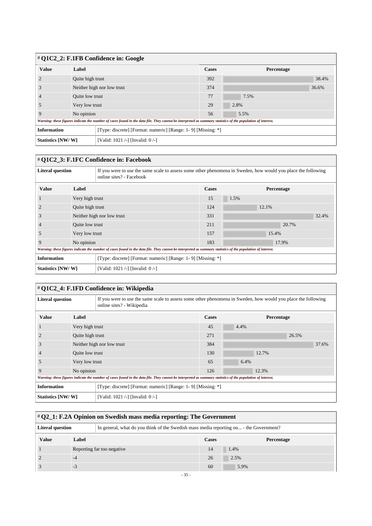| # Q1C2_2: F.1FB Confidence in: Google |                            |                                                                                                                                                             |              |            |       |  |  |
|---------------------------------------|----------------------------|-------------------------------------------------------------------------------------------------------------------------------------------------------------|--------------|------------|-------|--|--|
| <b>Value</b>                          | Label                      |                                                                                                                                                             | <b>Cases</b> | Percentage |       |  |  |
|                                       | Quite high trust           |                                                                                                                                                             | 392          |            | 38.4% |  |  |
| J.                                    | Neither high nor low trust |                                                                                                                                                             | 374          |            | 36.6% |  |  |
|                                       |                            | Quite low trust                                                                                                                                             |              | 7.5%       |       |  |  |
|                                       |                            | Very low trust                                                                                                                                              |              | 2.8%       |       |  |  |
| q                                     | No opinion                 |                                                                                                                                                             | 56           | 5.5%       |       |  |  |
|                                       |                            | Warning: these figures indicate the number of cases found in the data file. They cannot be interpreted as summary statistics of the population of interest. |              |            |       |  |  |
| <b>Information</b>                    |                            | [Type: discrete] [Format: numeric] [Range: 1-9] [Missing: *]                                                                                                |              |            |       |  |  |
| Statistics [NW/W]                     |                            | [Valid: 1021 /-] [Invalid: 0 /-]                                                                                                                            |              |            |       |  |  |

 $\overline{1}$ 

| # Q1C2 3: F.1FC Confidence in: Facebook |                  |                                                                                                                                                             |              |       |            |  |  |
|-----------------------------------------|------------------|-------------------------------------------------------------------------------------------------------------------------------------------------------------|--------------|-------|------------|--|--|
| <b>Literal question</b>                 |                  | If you were to use the same scale to assess some other phenomena in Sweden, how would you place the following<br>online sites? - Facebook                   |              |       |            |  |  |
| <b>Value</b>                            | Label            |                                                                                                                                                             | <b>Cases</b> |       | Percentage |  |  |
|                                         | Very high trust  |                                                                                                                                                             | 15           | 1.5%  |            |  |  |
|                                         | Quite high trust |                                                                                                                                                             | 124          | 12.1% |            |  |  |
| 3                                       |                  | Neither high nor low trust                                                                                                                                  | 331          |       | 32.4%      |  |  |
| $\overline{4}$                          | Quite low trust  |                                                                                                                                                             | 211          |       | 20.7%      |  |  |
| 5                                       | Very low trust   |                                                                                                                                                             | 157          |       | 15.4%      |  |  |
| 9                                       | No opinion       |                                                                                                                                                             | 183          | 17.9% |            |  |  |
|                                         |                  | Warning: these figures indicate the number of cases found in the data file. They cannot be interpreted as summary statistics of the population of interest. |              |       |            |  |  |
| <b>Information</b>                      |                  | [Type: discrete] [Format: numeric] [Range: 1-9] [Missing: *]                                                                                                |              |       |            |  |  |
| Statistics [NW/W]                       |                  | [Valid: 1021 /-] [Invalid: 0 /-]                                                                                                                            |              |       |            |  |  |

| # Q1C2_4: F.1FD Confidence in: Wikipedia                                           |                  |                                                                                                                                                             |              |       |            |  |  |
|------------------------------------------------------------------------------------|------------------|-------------------------------------------------------------------------------------------------------------------------------------------------------------|--------------|-------|------------|--|--|
| <b>Literal question</b>                                                            |                  | If you were to use the same scale to assess some other phenomena in Sweden, how would you place the following<br>online sites? - Wikipedia                  |              |       |            |  |  |
| <b>Value</b>                                                                       | Label            |                                                                                                                                                             | <b>Cases</b> |       | Percentage |  |  |
|                                                                                    | Very high trust  |                                                                                                                                                             | 45           | 4.4%  |            |  |  |
|                                                                                    | Quite high trust |                                                                                                                                                             | 271          |       | 26.5%      |  |  |
|                                                                                    |                  | Neither high nor low trust                                                                                                                                  | 384          |       | 37.6%      |  |  |
|                                                                                    | Quite low trust  |                                                                                                                                                             | 130          | 12.7% |            |  |  |
| 5                                                                                  | Very low trust   |                                                                                                                                                             | 65           | 6.4%  |            |  |  |
| 9                                                                                  | No opinion       |                                                                                                                                                             | 126          | 12.3% |            |  |  |
|                                                                                    |                  | Warning: these figures indicate the number of cases found in the data file. They cannot be interpreted as summary statistics of the population of interest. |              |       |            |  |  |
| <b>Information</b><br>[Type: discrete] [Format: numeric] [Range: 1-9] [Missing: *] |                  |                                                                                                                                                             |              |       |            |  |  |
| Statistics [NW/W]                                                                  |                  | [Valid: 1021 /-] [Invalid: 0 /-]                                                                                                                            |              |       |            |  |  |

| $\#$ Q2_1: F.2A Opinion on Swedish mass media reporting: The Government                                           |       |                            |       |            |  |  |
|-------------------------------------------------------------------------------------------------------------------|-------|----------------------------|-------|------------|--|--|
| <b>Literal question</b><br>In general, what do you think of the Swedish mass media reporting on - the Government? |       |                            |       |            |  |  |
| <b>Value</b>                                                                                                      | Label |                            | Cases | Percentage |  |  |
|                                                                                                                   |       | Reporting far too negative | 14    | 1.4%       |  |  |
|                                                                                                                   | $-4$  |                            | 26    | 2.5%       |  |  |
|                                                                                                                   | $-3$  |                            | 60    | 5.9%       |  |  |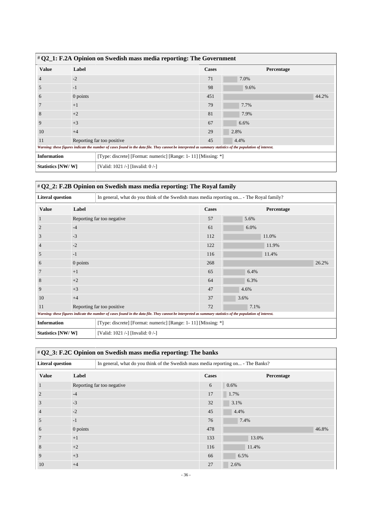| $\#$ Q2_1: F.2A Opinion on Swedish mass media reporting: The Government                                                                                     |          |                                  |              |            |       |  |  |
|-------------------------------------------------------------------------------------------------------------------------------------------------------------|----------|----------------------------------|--------------|------------|-------|--|--|
| <b>Value</b>                                                                                                                                                | Label    |                                  | <b>Cases</b> | Percentage |       |  |  |
|                                                                                                                                                             | $-2$     |                                  | 71           | 7.0%       |       |  |  |
|                                                                                                                                                             | $-1$     |                                  | 98           | 9.6%       |       |  |  |
| <sub>(</sub>                                                                                                                                                | 0 points |                                  | 451          |            | 44.2% |  |  |
|                                                                                                                                                             | $+1$     |                                  | 79           | 7.7%       |       |  |  |
| ş                                                                                                                                                           | $+2$     |                                  | 81           | 7.9%       |       |  |  |
|                                                                                                                                                             | $+3$     |                                  | 67           | 6.6%       |       |  |  |
| 10                                                                                                                                                          | $+4$     |                                  | 29           | 2.8%       |       |  |  |
| 11                                                                                                                                                          |          | Reporting far too positive       | 45           | 4.4%       |       |  |  |
| Warning: these figures indicate the number of cases found in the data file. They cannot be interpreted as summary statistics of the population of interest. |          |                                  |              |            |       |  |  |
| <b>Information</b><br>[Type: discrete] [Format: numeric] [Range: 1-11] [Missing: *]                                                                         |          |                                  |              |            |       |  |  |
| Statistics [NW/W]                                                                                                                                           |          | [Valid: 1021 /-] [Invalid: 0 /-] |              |            |       |  |  |

# # **Q2\_2: F.2B Opinion on Swedish mass media reporting: The Royal family**

| <b>Literal question</b>          |          | In general, what do you think of the Swedish mass media reporting on - The Royal family?                                                                    |              |            |  |  |
|----------------------------------|----------|-------------------------------------------------------------------------------------------------------------------------------------------------------------|--------------|------------|--|--|
| <b>Value</b>                     | Label    |                                                                                                                                                             | <b>Cases</b> | Percentage |  |  |
|                                  |          | Reporting far too negative                                                                                                                                  | 57           | 5.6%       |  |  |
| $\overline{2}$                   | $-4$     |                                                                                                                                                             | 61           | 6.0%       |  |  |
| 3                                | $-3$     |                                                                                                                                                             | 112          | 11.0%      |  |  |
| $\overline{4}$                   | $-2$     |                                                                                                                                                             | 122          | 11.9%      |  |  |
| 5                                | $-1$     |                                                                                                                                                             | 116          | 11.4%      |  |  |
| 6                                | 0 points |                                                                                                                                                             | 268          | 26.2%      |  |  |
| 7                                | $+1$     |                                                                                                                                                             | 65           | 6.4%       |  |  |
| 8                                | $+2$     |                                                                                                                                                             | 64           | 6.3%       |  |  |
| 9                                | $+3$     |                                                                                                                                                             | 47           | 4.6%       |  |  |
| 10                               | $+4$     |                                                                                                                                                             | 37           | 3.6%       |  |  |
| Reporting far too positive<br>11 |          |                                                                                                                                                             | 72           | 7.1%       |  |  |
|                                  |          | Warning: these figures indicate the number of cases found in the data file. They cannot be interpreted as summary statistics of the population of interest. |              |            |  |  |
| <b>Information</b>               |          | [Type: discrete] [Format: numeric] [Range: 1-11] [Missing: *]                                                                                               |              |            |  |  |
| Statistics [NW/W]                |          | [Valid: 1021 /-] [Invalid: 0/-]                                                                                                                             |              |            |  |  |

## # **Q2\_3: F.2C Opinion on Swedish mass media reporting: The banks**

| <b>Literal question</b><br>In general, what do you think of the Swedish mass media reporting on - The Banks? |          |                            |     |            |       |
|--------------------------------------------------------------------------------------------------------------|----------|----------------------------|-----|------------|-------|
| <b>Value</b>                                                                                                 | Label    |                            |     | Percentage |       |
|                                                                                                              |          | Reporting far too negative | 6   | 0.6%       |       |
|                                                                                                              | $-4$     |                            | 17  | 1.7%       |       |
| 3                                                                                                            | $-3$     |                            | 32  | 3.1%       |       |
| $\overline{4}$                                                                                               | $-2$     |                            | 45  | 4.4%       |       |
| 5                                                                                                            | $-1$     |                            | 76  | 7.4%       |       |
| 6                                                                                                            | 0 points |                            | 478 |            | 46.8% |
|                                                                                                              | $+1$     |                            | 133 | 13.0%      |       |
| 8                                                                                                            | $+2$     |                            | 116 | 11.4%      |       |
| 9                                                                                                            | $+3$     |                            | 66  | 6.5%       |       |
| 10                                                                                                           | $+4$     |                            | 27  | 2.6%       |       |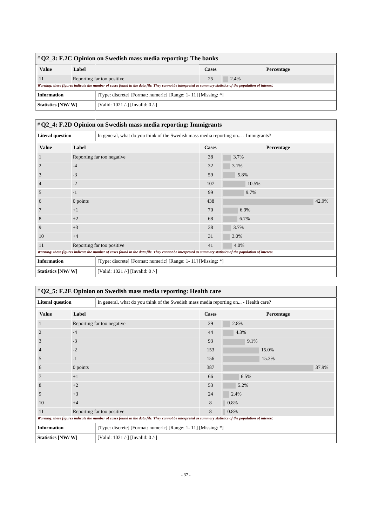| $\#$ Q2_3: F.2C Opinion on Swedish mass media reporting: The banks                  |                            |                                                                                                                                                             |              |      |            |  |
|-------------------------------------------------------------------------------------|----------------------------|-------------------------------------------------------------------------------------------------------------------------------------------------------------|--------------|------|------------|--|
| <b>Value</b>                                                                        | Label                      |                                                                                                                                                             | <b>Cases</b> |      | Percentage |  |
| 11                                                                                  | Reporting far too positive |                                                                                                                                                             | 25           | 2.4% |            |  |
|                                                                                     |                            | Warning: these figures indicate the number of cases found in the data file. They cannot be interpreted as summary statistics of the population of interest. |              |      |            |  |
| [Type: discrete] [Format: numeric] [Range: 1-11] [Missing: *]<br><b>Information</b> |                            |                                                                                                                                                             |              |      |            |  |
| Statistics [NW/W]                                                                   |                            | [Valid: 1021 /-] [Invalid: 0 /-]                                                                                                                            |              |      |            |  |

# # **Q2\_4: F.2D Opinion on Swedish mass media reporting: Immigrants**

| <b>Literal question</b> |            | In general, what do you think of the Swedish mass media reporting on - Immigrants?                                                                          |              |            |       |
|-------------------------|------------|-------------------------------------------------------------------------------------------------------------------------------------------------------------|--------------|------------|-------|
| <b>Value</b>            | Label      |                                                                                                                                                             | <b>Cases</b> | Percentage |       |
|                         |            | Reporting far too negative                                                                                                                                  | 38           | 3.7%       |       |
| $\overline{2}$          | $-4$       |                                                                                                                                                             | 32           | 3.1%       |       |
| 3                       | $-3$       |                                                                                                                                                             | 59           | 5.8%       |       |
| $\overline{4}$          | $-2$       |                                                                                                                                                             | 107          | 10.5%      |       |
| 5                       | $-1$       |                                                                                                                                                             | 99           | 9.7%       |       |
| 6                       | $0$ points |                                                                                                                                                             | 438          |            | 42.9% |
| 7                       | $+1$       |                                                                                                                                                             | 70           | 6.9%       |       |
| 8                       | $+2$       |                                                                                                                                                             | 68           | 6.7%       |       |
| 9                       | $+3$       |                                                                                                                                                             | 38           | 3.7%       |       |
| 10                      | $+4$       |                                                                                                                                                             | 31           | 3.0%       |       |
| 11                      |            | Reporting far too positive                                                                                                                                  | 41           | 4.0%       |       |
|                         |            | Warning: these figures indicate the number of cases found in the data file. They cannot be interpreted as summary statistics of the population of interest. |              |            |       |
| <b>Information</b>      |            | [Type: discrete] [Format: numeric] [Range: 1-11] [Missing: *]                                                                                               |              |            |       |
| Statistics [NW/W]       |            | [Valid: 1021 /-] [Invalid: 0/-]                                                                                                                             |              |            |       |

| # Q2_5: F.2E Opinion on Swedish mass media reporting: Health care                                              |          |                                                                                                                                                             |              |            |  |  |  |
|----------------------------------------------------------------------------------------------------------------|----------|-------------------------------------------------------------------------------------------------------------------------------------------------------------|--------------|------------|--|--|--|
| <b>Literal question</b><br>In general, what do you think of the Swedish mass media reporting on - Health care? |          |                                                                                                                                                             |              |            |  |  |  |
| <b>Value</b>                                                                                                   | Label    |                                                                                                                                                             | <b>Cases</b> | Percentage |  |  |  |
|                                                                                                                |          | Reporting far too negative                                                                                                                                  | 29           | 2.8%       |  |  |  |
| 2                                                                                                              | $-4$     |                                                                                                                                                             | 44           | 4.3%       |  |  |  |
| 3                                                                                                              | $-3$     |                                                                                                                                                             | 93           | 9.1%       |  |  |  |
| 4                                                                                                              | $-2$     |                                                                                                                                                             | 153          | 15.0%      |  |  |  |
| 5                                                                                                              | $-1$     |                                                                                                                                                             | 156          | 15.3%      |  |  |  |
| 6                                                                                                              | 0 points |                                                                                                                                                             | 387          | 37.9%      |  |  |  |
| 7                                                                                                              | $+1$     |                                                                                                                                                             | 66           | 6.5%       |  |  |  |
| 8                                                                                                              | $+2$     |                                                                                                                                                             | 53           | 5.2%       |  |  |  |
| 9                                                                                                              | $+3$     |                                                                                                                                                             | 24           | 2.4%       |  |  |  |
| 10                                                                                                             | $+4$     |                                                                                                                                                             | 8            | 0.8%       |  |  |  |
| 11                                                                                                             |          | Reporting far too positive                                                                                                                                  | 8            | 0.8%       |  |  |  |
|                                                                                                                |          | Warning: these figures indicate the number of cases found in the data file. They cannot be interpreted as summary statistics of the population of interest. |              |            |  |  |  |
| <b>Information</b>                                                                                             |          | [Type: discrete] [Format: numeric] [Range: 1-11] [Missing: *]                                                                                               |              |            |  |  |  |
| Statistics [NW/W]                                                                                              |          | [Valid: 1021 /-] [Invalid: 0 /-]                                                                                                                            |              |            |  |  |  |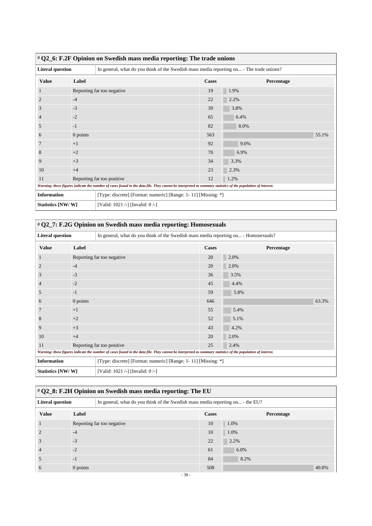| # Q2_6: F.2F Opinion on Swedish mass media reporting: The trade unions |          |                                                                                                                                                             |              |            |  |  |  |
|------------------------------------------------------------------------|----------|-------------------------------------------------------------------------------------------------------------------------------------------------------------|--------------|------------|--|--|--|
| <b>Literal question</b>                                                |          | In general, what do you think of the Swedish mass media reporting on - The trade unions?                                                                    |              |            |  |  |  |
| <b>Value</b>                                                           | Label    |                                                                                                                                                             | <b>Cases</b> | Percentage |  |  |  |
|                                                                        |          | Reporting far too negative                                                                                                                                  | 19           | 1.9%       |  |  |  |
| 2                                                                      | $-4$     |                                                                                                                                                             | 22           | 2.2%       |  |  |  |
| 3                                                                      | $-3$     |                                                                                                                                                             | 39           | 3.8%       |  |  |  |
| 4                                                                      | $-2$     |                                                                                                                                                             | 65           | 6.4%       |  |  |  |
| 5                                                                      | $-1$     |                                                                                                                                                             | 82           | 8.0%       |  |  |  |
| 6                                                                      | 0 points |                                                                                                                                                             | 563          | 55.1%      |  |  |  |
| 7                                                                      | $+1$     |                                                                                                                                                             | 92           | 9.0%       |  |  |  |
| 8                                                                      | $+2$     |                                                                                                                                                             | 70           | 6.9%       |  |  |  |
| 9                                                                      | $+3$     |                                                                                                                                                             | 34           | 3.3%       |  |  |  |
| 10                                                                     | $+4$     |                                                                                                                                                             | 23           | 2.3%       |  |  |  |
| Reporting far too positive<br>11                                       |          | 12                                                                                                                                                          | 1.2%         |            |  |  |  |
|                                                                        |          | Warning: these figures indicate the number of cases found in the data file. They cannot be interpreted as summary statistics of the population of interest. |              |            |  |  |  |
| <b>Information</b>                                                     |          | [Type: discrete] [Format: numeric] [Range: 1-11] [Missing: *]                                                                                               |              |            |  |  |  |
| Statistics [NW/W]                                                      |          | [Valid: 1021 /-] [Invalid: 0 /-]                                                                                                                            |              |            |  |  |  |

| # Q2_7: F.2G Opinion on Swedish mass media reporting: Homosexuals                                                                                           |            |                                                                                     |              |            |       |  |
|-------------------------------------------------------------------------------------------------------------------------------------------------------------|------------|-------------------------------------------------------------------------------------|--------------|------------|-------|--|
| <b>Literal question</b>                                                                                                                                     |            | In general, what do you think of the Swedish mass media reporting on - Homosexuals? |              |            |       |  |
| <b>Value</b>                                                                                                                                                | Label      |                                                                                     | <b>Cases</b> | Percentage |       |  |
|                                                                                                                                                             |            | Reporting far too negative                                                          | 20           | 2.0%       |       |  |
| $\overline{2}$                                                                                                                                              | $-4$       |                                                                                     | 20           | 2.0%       |       |  |
| 3                                                                                                                                                           | $-3$       |                                                                                     | 36           | 3.5%       |       |  |
| $\overline{4}$                                                                                                                                              | $-2$       |                                                                                     | 45           | 4.4%       |       |  |
| 5                                                                                                                                                           | $-1$       |                                                                                     | 59           | 5.8%       |       |  |
| $\epsilon$                                                                                                                                                  | $0$ points |                                                                                     | 646          |            | 63.3% |  |
| 7                                                                                                                                                           | $+1$       |                                                                                     | 55           | 5.4%       |       |  |
| 8                                                                                                                                                           | $+2$       |                                                                                     | 52           | 5.1%       |       |  |
| 9                                                                                                                                                           | $+3$       |                                                                                     | 43           | 4.2%       |       |  |
| 10                                                                                                                                                          | $+4$       |                                                                                     | 20           | 2.0%       |       |  |
| Reporting far too positive<br>11                                                                                                                            |            | 25                                                                                  | 2.4%         |            |       |  |
| Warning: these figures indicate the number of cases found in the data file. They cannot be interpreted as summary statistics of the population of interest. |            |                                                                                     |              |            |       |  |
| <b>Information</b>                                                                                                                                          |            | [Type: discrete] [Format: numeric] [Range: 1-11] [Missing: *]                       |              |            |       |  |
| Statistics [NW/W]                                                                                                                                           |            | [Valid: 1021 /-] [Invalid: 0/-]                                                     |              |            |       |  |

# # **Q2\_8: F.2H Opinion on Swedish mass media reporting: The EU**

| <b>Literal question</b> |                            | In general, what do you think of the Swedish mass media reporting on - the EU? |              |            |  |
|-------------------------|----------------------------|--------------------------------------------------------------------------------|--------------|------------|--|
| <b>Value</b>            | Label                      |                                                                                | <b>Cases</b> | Percentage |  |
|                         | Reporting far too negative |                                                                                | 10           | 1.0%       |  |
|                         | $-4$                       |                                                                                | 10           | 1.0%       |  |
|                         | $-3$                       |                                                                                | 22           | 2.2%       |  |
|                         | $-2$                       |                                                                                | 61           | 6.0%       |  |
|                         | $-1$                       |                                                                                | 84           | 8.2%       |  |
|                         | $0$ points                 |                                                                                | 508          | 49.8%      |  |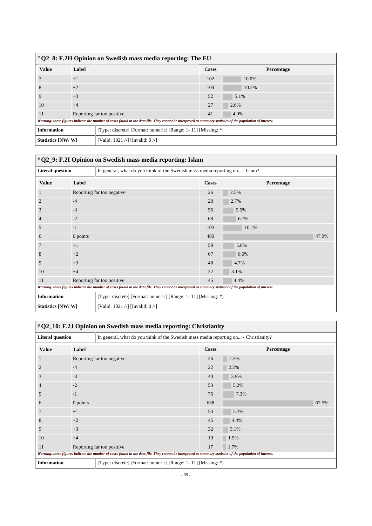| # Q2_8: F.2H Opinion on Swedish mass media reporting: The EU |       |                                                                                                                                                             |              |            |  |  |
|--------------------------------------------------------------|-------|-------------------------------------------------------------------------------------------------------------------------------------------------------------|--------------|------------|--|--|
| <b>Value</b>                                                 | Label |                                                                                                                                                             | <b>Cases</b> | Percentage |  |  |
|                                                              | $+1$  |                                                                                                                                                             | 102          | 10.0%      |  |  |
| 8                                                            | $+2$  |                                                                                                                                                             | 104          | 10.2%      |  |  |
|                                                              | $+3$  |                                                                                                                                                             | 52           | 5.1%       |  |  |
| 10                                                           | $+4$  |                                                                                                                                                             | 27           | 2.6%       |  |  |
| 11                                                           |       | Reporting far too positive                                                                                                                                  | 41           | 4.0%       |  |  |
|                                                              |       | Warning: these figures indicate the number of cases found in the data file. They cannot be interpreted as summary statistics of the population of interest. |              |            |  |  |
| <b>Information</b>                                           |       | [Type: discrete] [Format: numeric] [Range: 1-11] [Missing: *]                                                                                               |              |            |  |  |
| Statistics [NW/W]                                            |       | [Valid: 1021 /-] [Invalid: 0 /-]                                                                                                                            |              |            |  |  |

|                         |                                                                                     | # Q2_9: F.2I Opinion on Swedish mass media reporting: Islam                                                                                                 |            |       |
|-------------------------|-------------------------------------------------------------------------------------|-------------------------------------------------------------------------------------------------------------------------------------------------------------|------------|-------|
| <b>Literal question</b> |                                                                                     | In general, what do you think of the Swedish mass media reporting on - Islam?                                                                               |            |       |
| <b>Value</b>            | Label                                                                               |                                                                                                                                                             | Percentage |       |
|                         |                                                                                     | Reporting far too negative                                                                                                                                  | 26         | 2.5%  |
| 2                       | $-4$                                                                                |                                                                                                                                                             | 28         | 2.7%  |
| 3                       | $-3$                                                                                |                                                                                                                                                             | 56         | 5.5%  |
| 4                       | $-2$                                                                                |                                                                                                                                                             | 68         | 6.7%  |
| 5                       | $-1$                                                                                |                                                                                                                                                             | 103        | 10.1% |
| 6                       | $0$ points                                                                          |                                                                                                                                                             | 489        | 47.9% |
|                         | $+1$                                                                                |                                                                                                                                                             | 59         | 5.8%  |
| 8                       | $+2$                                                                                |                                                                                                                                                             | 67         | 6.6%  |
| 9                       | $+3$                                                                                |                                                                                                                                                             | 48         | 4.7%  |
| 10                      | $+4$                                                                                |                                                                                                                                                             | 32         | 3.1%  |
| 11                      | Reporting far too positive                                                          |                                                                                                                                                             | 45         | 4.4%  |
|                         |                                                                                     | Warning: these figures indicate the number of cases found in the data file. They cannot be interpreted as summary statistics of the population of interest. |            |       |
|                         | <b>Information</b><br>[Type: discrete] [Format: numeric] [Range: 1-11] [Missing: *] |                                                                                                                                                             |            |       |
| Statistics [NW/W]       |                                                                                     | [Valid: 1021 /-] [Invalid: 0 /-]                                                                                                                            |            |       |

|                                                                                                                 |                            | # Q2_10: F.2J Opinion on Swedish mass media reporting: Christianity                                                                                         |       |            |
|-----------------------------------------------------------------------------------------------------------------|----------------------------|-------------------------------------------------------------------------------------------------------------------------------------------------------------|-------|------------|
| <b>Literal question</b><br>In general, what do you think of the Swedish mass media reporting on - Christianity? |                            |                                                                                                                                                             |       |            |
| <b>Value</b>                                                                                                    | Label                      |                                                                                                                                                             | Cases | Percentage |
|                                                                                                                 |                            | Reporting far too negative                                                                                                                                  | 26    | 2.5%       |
| 2                                                                                                               | $-4$                       |                                                                                                                                                             | 22    | 2.2%       |
| 3                                                                                                               | $-3$                       |                                                                                                                                                             | 40    | 3.9%       |
| 4                                                                                                               | $-2$                       |                                                                                                                                                             | 53    | 5.2%       |
| 5                                                                                                               | $-1$                       |                                                                                                                                                             | 75    | 7.3%       |
| 6                                                                                                               | $0$ points                 |                                                                                                                                                             | 638   | 62.5%      |
| 7                                                                                                               | $+1$                       |                                                                                                                                                             | 54    | 5.3%       |
| 8                                                                                                               | $+2$                       |                                                                                                                                                             | 45    | 4.4%       |
| 9                                                                                                               | $+3$                       |                                                                                                                                                             | 32    | 3.1%       |
| 10                                                                                                              | $+4$                       |                                                                                                                                                             |       | 1.9%       |
| 11                                                                                                              | Reporting far too positive |                                                                                                                                                             | 17    | $1.7\%$    |
|                                                                                                                 |                            | Warning: these figures indicate the number of cases found in the data file. They cannot be interpreted as summary statistics of the population of interest. |       |            |
| <b>Information</b>                                                                                              |                            | [Type: discrete] [Format: numeric] [Range: 1-11] [Missing: *]                                                                                               |       |            |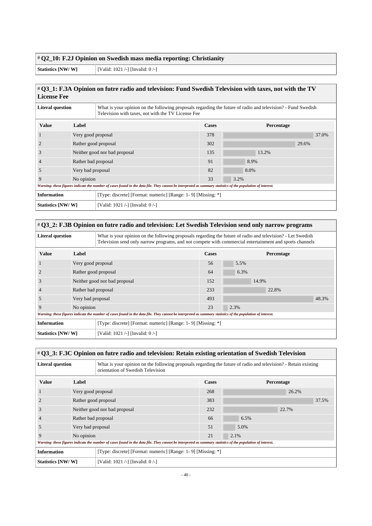#### # **Q2\_10: F.2J Opinion on Swedish mass media reporting: Christianity**

**Statistics [NW/ W]** [Valid: 1021 /-] [Invalid: 0 /-]

#### # **Q3\_1: F.3A Opinion on futre radio and television: Fund Swedish Television with taxes, not with the TV License Fee**

| <b>Literal question</b> |                               | What is your opinion on the following proposals regarding the future of radio and television? - Fund Swedish<br>Television with taxes, not with the TV License Fee |              |                   |       |  |
|-------------------------|-------------------------------|--------------------------------------------------------------------------------------------------------------------------------------------------------------------|--------------|-------------------|-------|--|
| <b>Value</b>            | Label                         |                                                                                                                                                                    | <b>Cases</b> | <b>Percentage</b> |       |  |
|                         | Very good proposal            |                                                                                                                                                                    | 378          |                   | 37.0% |  |
|                         | Rather good proposal          |                                                                                                                                                                    | 302          |                   | 29.6% |  |
| 3                       | Neither good nor bad proposal |                                                                                                                                                                    | 135          | 13.2%             |       |  |
| $\overline{4}$          | Rather bad proposal           |                                                                                                                                                                    | 91           | 8.9%              |       |  |
| 5                       | Very bad proposal             |                                                                                                                                                                    | 82           | 8.0%              |       |  |
| 9                       | No opinion                    |                                                                                                                                                                    | 33           | 3.2%              |       |  |
|                         |                               | Warning: these figures indicate the number of cases found in the data file. They cannot be interpreted as summary statistics of the population of interest.        |              |                   |       |  |
| <b>Information</b>      |                               | [Type: discrete] [Format: numeric] [Range: 1-9] [Missing: *]                                                                                                       |              |                   |       |  |
| Statistics [NW/W]       |                               | [Valid: 1021 /-] [Invalid: 0 /-]                                                                                                                                   |              |                   |       |  |

| # Q3_2: F.3B Opinion on futre radio and television: Let Swedish Television send only narrow programs |                                                                                                                                                             |                                                                                                                                                                                                                        |              |                   |       |  |  |
|------------------------------------------------------------------------------------------------------|-------------------------------------------------------------------------------------------------------------------------------------------------------------|------------------------------------------------------------------------------------------------------------------------------------------------------------------------------------------------------------------------|--------------|-------------------|-------|--|--|
| <b>Literal question</b>                                                                              |                                                                                                                                                             | What is your opinion on the following proposals regarding the future of radio and television? - Let Swedish<br>Television send only narrow programs, and not compete with commercial entertainment and sports channels |              |                   |       |  |  |
| <b>Value</b>                                                                                         | Label                                                                                                                                                       |                                                                                                                                                                                                                        | <b>Cases</b> | <b>Percentage</b> |       |  |  |
|                                                                                                      | Very good proposal                                                                                                                                          |                                                                                                                                                                                                                        | 56           | 5.5%              |       |  |  |
|                                                                                                      | Rather good proposal                                                                                                                                        |                                                                                                                                                                                                                        | 64           | 6.3%              |       |  |  |
| 3                                                                                                    |                                                                                                                                                             | Neither good nor bad proposal                                                                                                                                                                                          | 152          | 14.9%             |       |  |  |
| $\overline{4}$                                                                                       | Rather bad proposal                                                                                                                                         |                                                                                                                                                                                                                        | 233          | 22.8%             |       |  |  |
| 5                                                                                                    | Very bad proposal                                                                                                                                           |                                                                                                                                                                                                                        | 493          |                   | 48.3% |  |  |
| 9                                                                                                    | No opinion                                                                                                                                                  |                                                                                                                                                                                                                        | 23           | 2.3%              |       |  |  |
|                                                                                                      | Warning: these figures indicate the number of cases found in the data file. They cannot be interpreted as summary statistics of the population of interest. |                                                                                                                                                                                                                        |              |                   |       |  |  |
| <b>Information</b>                                                                                   |                                                                                                                                                             | [Type: discrete] [Format: numeric] [Range: 1-9] [Missing: *]                                                                                                                                                           |              |                   |       |  |  |
| Statistics [NW/W]                                                                                    |                                                                                                                                                             | [Valid: 1021 /-] [Invalid: 0 /-]                                                                                                                                                                                       |              |                   |       |  |  |

#### # **Q3\_3: F.3C Opinion on futre radio and television: Retain existing orientation of Swedish Television**

| <b>Literal question</b> |                               | What is your opinion on the following proposals regarding the future of radio and television? - Retain existing<br>orientation of Swedish Television        |              |      |            |       |
|-------------------------|-------------------------------|-------------------------------------------------------------------------------------------------------------------------------------------------------------|--------------|------|------------|-------|
| <b>Value</b>            | Label                         |                                                                                                                                                             | <b>Cases</b> |      | Percentage |       |
|                         | Very good proposal            |                                                                                                                                                             | 268          |      | 26.2%      |       |
|                         | Rather good proposal          |                                                                                                                                                             | 383          |      |            | 37.5% |
| 3                       | Neither good nor bad proposal |                                                                                                                                                             | 232          |      | 22.7%      |       |
| $\overline{4}$          | Rather bad proposal           |                                                                                                                                                             | 66           | 6.5% |            |       |
| 5                       | Very bad proposal             |                                                                                                                                                             | 51           | 5.0% |            |       |
| 9                       | No opinion                    |                                                                                                                                                             | 21           | 2.1% |            |       |
|                         |                               | Warning: these figures indicate the number of cases found in the data file. They cannot be interpreted as summary statistics of the population of interest. |              |      |            |       |
| <b>Information</b>      |                               | [Type: discrete] [Format: numeric] [Range: 1-9] [Missing: *]                                                                                                |              |      |            |       |
| Statistics [NW/W]       |                               | [Valid: 1021 /-] [Invalid: 0 /-]                                                                                                                            |              |      |            |       |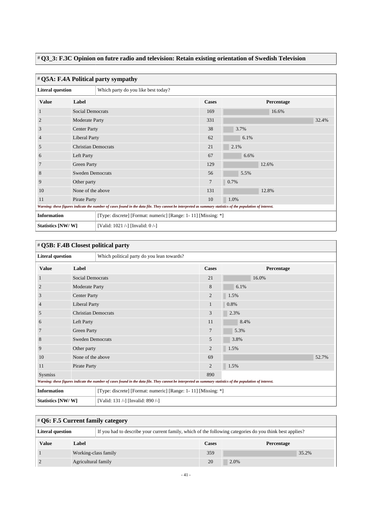#### # **Q3\_3: F.3C Opinion on futre radio and television: Retain existing orientation of Swedish Television**

| # Q5A: F.4A Political party sympathy                                                                                                                        |                            |                                     |                                                               |            |  |  |  |
|-------------------------------------------------------------------------------------------------------------------------------------------------------------|----------------------------|-------------------------------------|---------------------------------------------------------------|------------|--|--|--|
| <b>Literal question</b>                                                                                                                                     |                            | Which party do you like best today? |                                                               |            |  |  |  |
| <b>Value</b>                                                                                                                                                | Label                      |                                     | <b>Cases</b>                                                  | Percentage |  |  |  |
| 1                                                                                                                                                           | <b>Social Democrats</b>    |                                     | 169                                                           | 16.6%      |  |  |  |
| $\overline{2}$                                                                                                                                              | Moderate Party             |                                     | 331                                                           | 32.4%      |  |  |  |
| 3                                                                                                                                                           | <b>Center Party</b>        |                                     | 38                                                            | 3.7%       |  |  |  |
| $\overline{4}$                                                                                                                                              | <b>Liberal Party</b>       |                                     | 62                                                            | 6.1%       |  |  |  |
| 5                                                                                                                                                           | <b>Christian Democrats</b> |                                     | 21                                                            | 2.1%       |  |  |  |
| 6                                                                                                                                                           | Left Party                 |                                     | 67                                                            | 6.6%       |  |  |  |
| 7                                                                                                                                                           | <b>Green Party</b>         |                                     | 129                                                           | 12.6%      |  |  |  |
| 8                                                                                                                                                           | <b>Sweden Democrats</b>    |                                     | 56                                                            | 5.5%       |  |  |  |
| 9                                                                                                                                                           | Other party                |                                     | 7                                                             | 0.7%       |  |  |  |
| 10                                                                                                                                                          | None of the above          |                                     | 131                                                           | 12.8%      |  |  |  |
| Pirate Party<br>11                                                                                                                                          |                            | 10                                  | 1.0%                                                          |            |  |  |  |
| Warning: these figures indicate the number of cases found in the data file. They cannot be interpreted as summary statistics of the population of interest. |                            |                                     |                                                               |            |  |  |  |
| <b>Information</b>                                                                                                                                          |                            |                                     | [Type: discrete] [Format: numeric] [Range: 1-11] [Missing: *] |            |  |  |  |
| Statistics [NW/W]                                                                                                                                           |                            | [Valid: 1021 /-] [Invalid: 0 /-]    |                                                               |            |  |  |  |

| # Q5B: F.4B Closest political party                                                                                                                         |                            |                                   |                                                               |            |       |  |  |
|-------------------------------------------------------------------------------------------------------------------------------------------------------------|----------------------------|-----------------------------------|---------------------------------------------------------------|------------|-------|--|--|
| <b>Literal question</b><br>Which political party do you lean towards?                                                                                       |                            |                                   |                                                               |            |       |  |  |
| <b>Value</b>                                                                                                                                                | Label                      |                                   | <b>Cases</b>                                                  | Percentage |       |  |  |
| 1                                                                                                                                                           | <b>Social Democrats</b>    |                                   | 21                                                            | 16.0%      |       |  |  |
| $\overline{c}$                                                                                                                                              | Moderate Party             |                                   | 8                                                             | 6.1%       |       |  |  |
| 3                                                                                                                                                           | <b>Center Party</b>        |                                   | $\overline{2}$                                                | 1.5%       |       |  |  |
| 4                                                                                                                                                           | <b>Liberal Party</b>       |                                   | 1                                                             | 0.8%       |       |  |  |
| 5                                                                                                                                                           | <b>Christian Democrats</b> |                                   | 3                                                             | 2.3%       |       |  |  |
| 6                                                                                                                                                           | Left Party                 |                                   | 11                                                            | 8.4%       |       |  |  |
| 7                                                                                                                                                           | <b>Green Party</b>         |                                   | 7                                                             | 5.3%       |       |  |  |
| 8                                                                                                                                                           | <b>Sweden Democrats</b>    |                                   | 5                                                             | 3.8%       |       |  |  |
| 9                                                                                                                                                           | Other party                |                                   | $\overline{2}$                                                | 1.5%       |       |  |  |
| 10                                                                                                                                                          | None of the above          |                                   | 69                                                            |            | 52.7% |  |  |
| 11                                                                                                                                                          | Pirate Party               |                                   | $\overline{2}$                                                | 1.5%       |       |  |  |
| Sysmiss                                                                                                                                                     |                            | 890                               |                                                               |            |       |  |  |
| Warning: these figures indicate the number of cases found in the data file. They cannot be interpreted as summary statistics of the population of interest. |                            |                                   |                                                               |            |       |  |  |
| <b>Information</b>                                                                                                                                          |                            |                                   | [Type: discrete] [Format: numeric] [Range: 1-11] [Missing: *] |            |       |  |  |
| Statistics [NW/W]                                                                                                                                           |                            | [Valid: 131 /-] [Invalid: 890 /-] |                                                               |            |       |  |  |

| $\#Q6$ : F.5 Current family category                                                                                                |                      |  |     |            |  |  |
|-------------------------------------------------------------------------------------------------------------------------------------|----------------------|--|-----|------------|--|--|
| If you had to describe your current family, which of the following categories do you think best applies?<br><b>Literal question</b> |                      |  |     |            |  |  |
| <b>Value</b>                                                                                                                        | Label                |  |     | Percentage |  |  |
|                                                                                                                                     | Working-class family |  | 359 | 35.2%      |  |  |
|                                                                                                                                     | Agricultural family  |  | 20  | 2.0%       |  |  |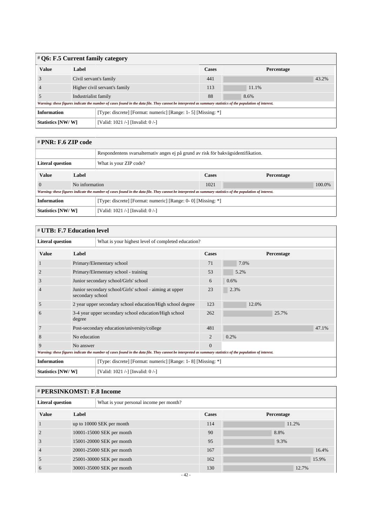| $\#$ Q6: F.5 Current family category |                        |                                                                                                                                                             |              |            |       |  |
|--------------------------------------|------------------------|-------------------------------------------------------------------------------------------------------------------------------------------------------------|--------------|------------|-------|--|
| <b>Value</b>                         | Label                  |                                                                                                                                                             | <b>Cases</b> | Percentage |       |  |
|                                      | Civil servant's family |                                                                                                                                                             | 441          |            | 43.2% |  |
|                                      |                        | Higher civil servant's family                                                                                                                               | 113          | 11.1%      |       |  |
|                                      |                        | Industrialist family                                                                                                                                        |              | 8.6%       |       |  |
|                                      |                        | Warning: these figures indicate the number of cases found in the data file. They cannot be interpreted as summary statistics of the population of interest. |              |            |       |  |
| <b>Information</b>                   |                        | [Type: discrete] [Format: numeric] [Range: 1- 5] [Missing: *]                                                                                               |              |            |       |  |
| Statistics [NW/W]                    |                        | [Valid: 1021 /-] [Invalid: 0 /-]                                                                                                                            |              |            |       |  |

| # PNR: F.6 ZIP code                                                                 |                |                                                                                                                                                             |                            |  |        |  |
|-------------------------------------------------------------------------------------|----------------|-------------------------------------------------------------------------------------------------------------------------------------------------------------|----------------------------|--|--------|--|
| Respondentens svarsalternativ anges ej på grund av risk för bakvägsidentifikation.  |                |                                                                                                                                                             |                            |  |        |  |
| <b>Literal question</b>                                                             |                | What is your ZIP code?                                                                                                                                      |                            |  |        |  |
| <b>Value</b>                                                                        | Label          |                                                                                                                                                             | <b>Cases</b><br>Percentage |  |        |  |
|                                                                                     | No information |                                                                                                                                                             | 1021                       |  | 100.0% |  |
|                                                                                     |                | Warning: these figures indicate the number of cases found in the data file. They cannot be interpreted as summary statistics of the population of interest. |                            |  |        |  |
| <b>Information</b><br>[Type: discrete] [Format: numeric] [Range: 0- 0] [Missing: *] |                |                                                                                                                                                             |                            |  |        |  |
| Statistics [NW/W]                                                                   |                | [Valid: 1021 /-] [Invalid: $0$ /-]                                                                                                                          |                            |  |        |  |

 $\overline{a}$ 

| # UTB: F.7 Education level                                                                                                                                  |           |                                                                             |                |            |       |  |  |
|-------------------------------------------------------------------------------------------------------------------------------------------------------------|-----------|-----------------------------------------------------------------------------|----------------|------------|-------|--|--|
| <b>Literal question</b>                                                                                                                                     |           | What is your highest level of completed education?                          |                |            |       |  |  |
| <b>Value</b>                                                                                                                                                | Label     |                                                                             | <b>Cases</b>   | Percentage |       |  |  |
|                                                                                                                                                             |           | Primary/Elementary school                                                   |                | 7.0%       |       |  |  |
|                                                                                                                                                             |           | Primary/Elementary school - training                                        |                | 5.2%       |       |  |  |
| 3                                                                                                                                                           |           | Junior secondary school/Girls' school                                       |                | 0.6%       |       |  |  |
| $\overline{4}$                                                                                                                                              |           | Junior secondary school/Girls' school - aiming at upper<br>secondary school |                | 2.3%       |       |  |  |
| 5                                                                                                                                                           |           | 2 year upper secondary school education/High school degree                  |                | 12.0%      |       |  |  |
| 6                                                                                                                                                           | degree    | 3-4 year upper secondary school education/High school                       | 262            | 25.7%      |       |  |  |
|                                                                                                                                                             |           | Post-secondary education/university/college                                 |                |            | 47.1% |  |  |
| 8                                                                                                                                                           |           | No education                                                                |                | 0.2%       |       |  |  |
| 9                                                                                                                                                           | No answer |                                                                             | $\overline{0}$ |            |       |  |  |
| Warning: these figures indicate the number of cases found in the data file. They cannot be interpreted as summary statistics of the population of interest. |           |                                                                             |                |            |       |  |  |
| <b>Information</b>                                                                                                                                          |           | [Type: discrete] [Format: numeric] [Range: 1-8] [Missing: *]                |                |            |       |  |  |
| Statistics [NW/W]                                                                                                                                           |           | [Valid: 1021 /-] [Invalid: 0 /-]                                            |                |            |       |  |  |

| # PERSINKOMST: F.8 Income |       |                                         |              |            |       |  |
|---------------------------|-------|-----------------------------------------|--------------|------------|-------|--|
| <b>Literal question</b>   |       | What is your personal income per month? |              |            |       |  |
| <b>Value</b>              | Label |                                         | <b>Cases</b> | Percentage |       |  |
|                           |       | up to 10000 SEK per month               | 114          |            | 11.2% |  |
|                           |       | 10001-15000 SEK per month               | 90           | 8.8%       |       |  |
| J.                        |       | 15001-20000 SEK per month               | 95           | 9.3%       |       |  |
|                           |       | 20001-25000 SEK per month               | 167          |            | 16.4% |  |
| 5                         |       | 25001-30000 SEK per month               | 162          |            | 15.9% |  |
| O                         |       | 30001-35000 SEK per month               | 130          |            | 12.7% |  |